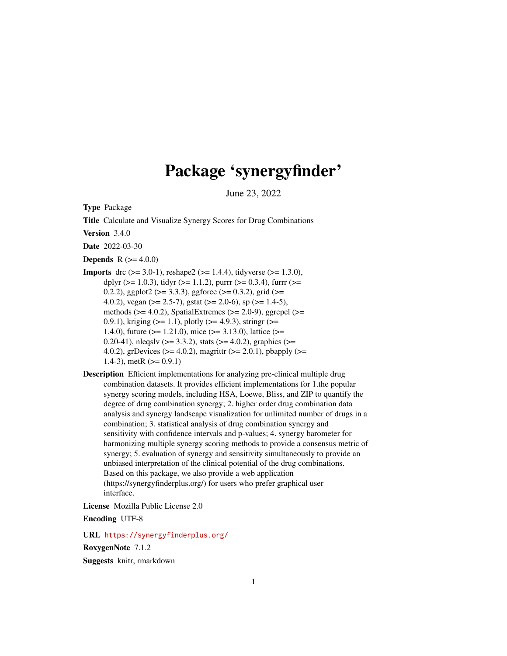# Package 'synergyfinder'

June 23, 2022

<span id="page-0-0"></span>Type Package

Title Calculate and Visualize Synergy Scores for Drug Combinations

Version 3.4.0

Date 2022-03-30

**Depends** R  $(>= 4.0.0)$ 

- **Imports** drc ( $>= 3.0-1$ ), reshape2 ( $>= 1.4.4$ ), tidyverse ( $>= 1.3.0$ ), dplyr ( $>= 1.0.3$ ), tidyr ( $>= 1.1.2$ ), purrr ( $>= 0.3.4$ ), furrr ( $>=$ 0.2.2), ggplot2 ( $> = 3.3.3$ ), ggforce ( $> = 0.3.2$ ), grid ( $> =$ 4.0.2), vegan ( $>= 2.5-7$ ), gstat ( $>= 2.0-6$ ), sp ( $>= 1.4-5$ ), methods ( $>= 4.0.2$ ), SpatialExtremes ( $>= 2.0-9$ ), ggrepel ( $>=$ 0.9.1), kriging ( $>= 1.1$ ), plotly ( $>= 4.9.3$ ), stringr ( $>= 0.9.1$ ) 1.4.0), future ( $>= 1.21.0$ ), mice ( $>= 3.13.0$ ), lattice ( $>= 1.21.0$ ) 0.20-41), nleqslv ( $>= 3.3.2$ ), stats ( $>= 4.0.2$ ), graphics ( $>= 0.20$ 4.0.2), grDevices ( $>= 4.0.2$ ), magrittr ( $>= 2.0.1$ ), pbapply ( $>=$ 1.4-3), metR  $(>= 0.9.1)$
- Description Efficient implementations for analyzing pre-clinical multiple drug combination datasets. It provides efficient implementations for 1.the popular synergy scoring models, including HSA, Loewe, Bliss, and ZIP to quantify the degree of drug combination synergy; 2. higher order drug combination data analysis and synergy landscape visualization for unlimited number of drugs in a combination; 3. statistical analysis of drug combination synergy and sensitivity with confidence intervals and p-values; 4. synergy barometer for harmonizing multiple synergy scoring methods to provide a consensus metric of synergy; 5. evaluation of synergy and sensitivity simultaneously to provide an unbiased interpretation of the clinical potential of the drug combinations. Based on this package, we also provide a web application (https://synergyfinderplus.org/) for users who prefer graphical user interface.

License Mozilla Public License 2.0

Encoding UTF-8

URL <https://synergyfinderplus.org/>

RoxygenNote 7.1.2

Suggests knitr, rmarkdown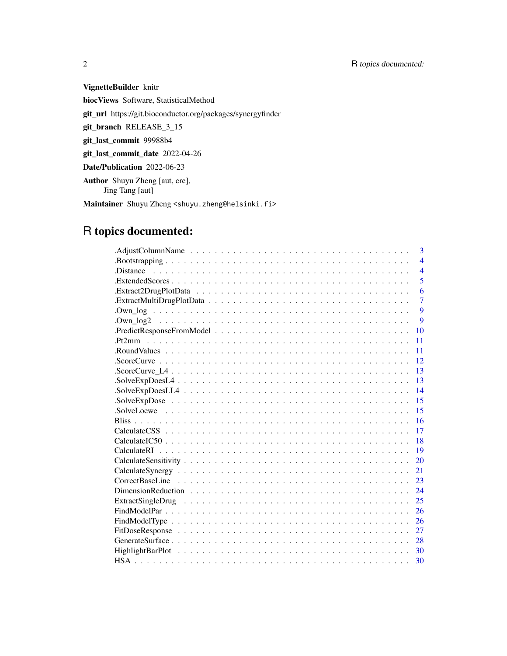# 2 R topics documented:

VignetteBuilder knitr biocViews Software, StatisticalMethod git\_url https://git.bioconductor.org/packages/synergyfinder git\_branch RELEASE\_3\_15 git\_last\_commit 99988b4 git\_last\_commit\_date 2022-04-26 Date/Publication 2022-06-23 Author Shuyu Zheng [aut, cre], Jing Tang [aut] Maintainer Shuyu Zheng <shuyu.zheng@helsinki.fi>

# R topics documented:

| 3                                                                                                                    |
|----------------------------------------------------------------------------------------------------------------------|
| $\overline{4}$                                                                                                       |
| $.$ Distance $\ldots \ldots \ldots \ldots \ldots \ldots \ldots \ldots \ldots \ldots \ldots \ldots$<br>$\overline{4}$ |
| 5                                                                                                                    |
| 6                                                                                                                    |
| $\overline{7}$                                                                                                       |
| 9                                                                                                                    |
| $\mathbf Q$                                                                                                          |
| PredictResponseFromModel<br>10                                                                                       |
| 11                                                                                                                   |
| 11                                                                                                                   |
| 12                                                                                                                   |
| 13                                                                                                                   |
| 13                                                                                                                   |
| 14                                                                                                                   |
| 15                                                                                                                   |
| 15                                                                                                                   |
| 16                                                                                                                   |
| 17                                                                                                                   |
| 18                                                                                                                   |
| 19                                                                                                                   |
| 20                                                                                                                   |
| 21                                                                                                                   |
| 23                                                                                                                   |
| 24                                                                                                                   |
| 25                                                                                                                   |
| 26                                                                                                                   |
| 26                                                                                                                   |
| 27                                                                                                                   |
| 28                                                                                                                   |
|                                                                                                                      |
| 30                                                                                                                   |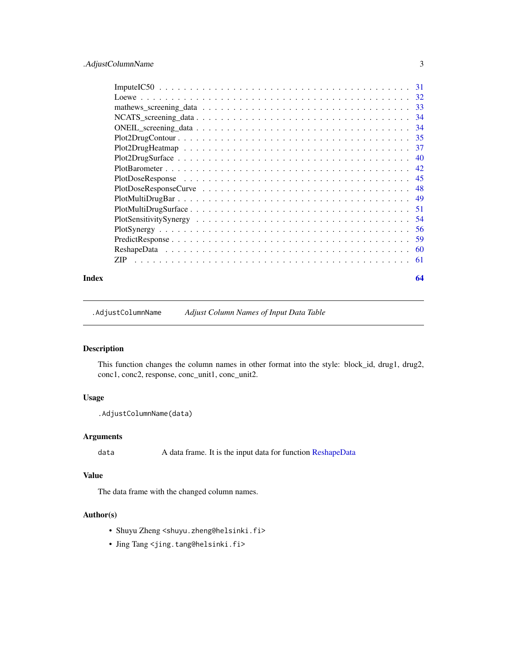<span id="page-2-0"></span>

|       | ZIP. | - 61 |
|-------|------|------|
| Index |      | 64   |

.AdjustColumnName *Adjust Column Names of Input Data Table*

# Description

This function changes the column names in other format into the style: block\_id, drug1, drug2, conc1, conc2, response, conc\_unit1, conc\_unit2.

# Usage

```
.AdjustColumnName(data)
```
# Arguments

data A data frame. It is the input data for function [ReshapeData](#page-59-1)

# Value

The data frame with the changed column names.

- Shuyu Zheng <shuyu.zheng@helsinki.fi>
- Jing Tang <jing.tang@helsinki.fi>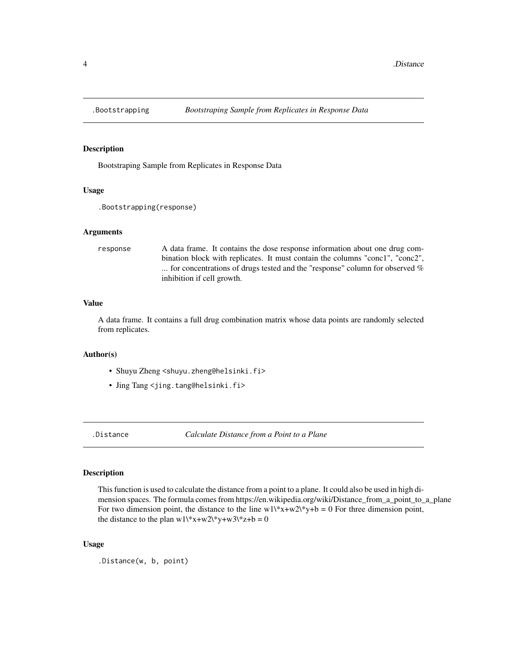<span id="page-3-0"></span>

Bootstraping Sample from Replicates in Response Data

# Usage

```
.Bootstrapping(response)
```
# Arguments

response A data frame. It contains the dose response information about one drug combination block with replicates. It must contain the columns "conc1", "conc2", ... for concentrations of drugs tested and the "response" column for observed % inhibition if cell growth.

# Value

A data frame. It contains a full drug combination matrix whose data points are randomly selected from replicates.

# Author(s)

- Shuyu Zheng <shuyu.zheng@helsinki.fi>
- Jing Tang <jing.tang@helsinki.fi>

.Distance *Calculate Distance from a Point to a Plane*

# Description

This function is used to calculate the distance from a point to a plane. It could also be used in high dimension spaces. The formula comes from https://en.wikipedia.org/wiki/Distance\_from\_a\_point\_to\_a\_plane For two dimension point, the distance to the line  $w1\$ \*x+w2\\*y+b = 0 For three dimension point, the distance to the plan  $w1\$ \*x+w2\\*y+w3\\*z+b = 0

#### Usage

.Distance(w, b, point)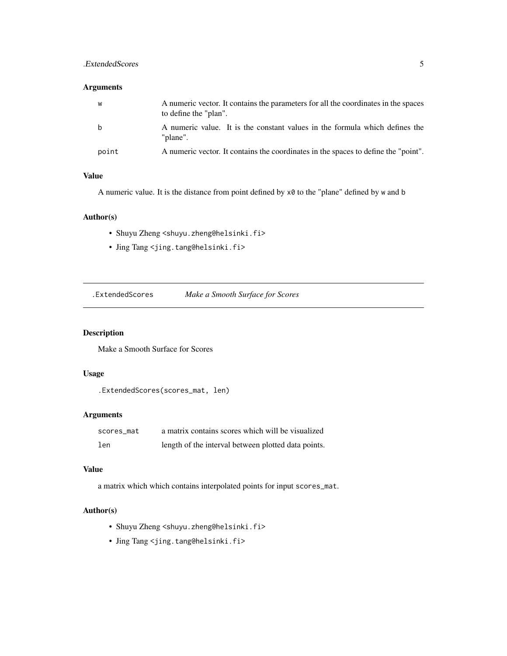# <span id="page-4-0"></span>.ExtendedScores 5

# Arguments

| W     | A numeric vector. It contains the parameters for all the coordinates in the spaces<br>to define the "plan". |
|-------|-------------------------------------------------------------------------------------------------------------|
| b     | A numeric value. It is the constant values in the formula which defines the<br>"plane".                     |
| point | A numeric vector. It contains the coordinates in the spaces to define the "point".                          |

# Value

A numeric value. It is the distance from point defined by x0 to the "plane" defined by w and b

# Author(s)

- Shuyu Zheng <shuyu.zheng@helsinki.fi>
- Jing Tang <jing.tang@helsinki.fi>

.ExtendedScores *Make a Smooth Surface for Scores*

# Description

Make a Smooth Surface for Scores

# Usage

```
.ExtendedScores(scores_mat, len)
```
# Arguments

| scores mat | a matrix contains scores which will be visualized   |
|------------|-----------------------------------------------------|
| len        | length of the interval between plotted data points. |

# Value

a matrix which which contains interpolated points for input scores\_mat.

- Shuyu Zheng <shuyu.zheng@helsinki.fi>
- Jing Tang <jing.tang@helsinki.fi>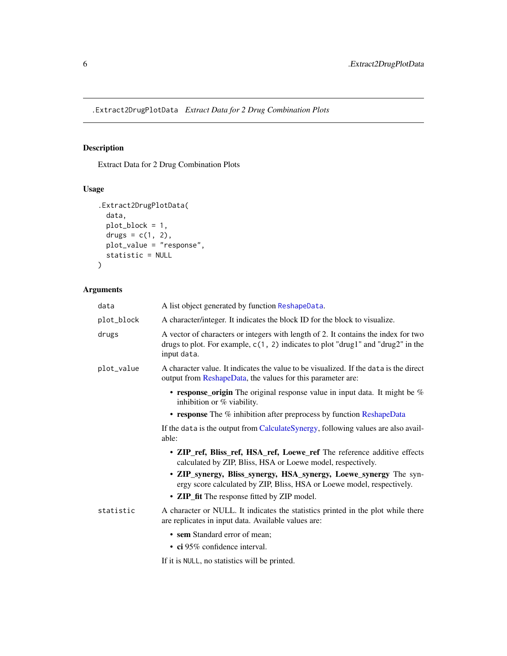<span id="page-5-0"></span>.Extract2DrugPlotData *Extract Data for 2 Drug Combination Plots*

# Description

Extract Data for 2 Drug Combination Plots

# Usage

```
.Extract2DrugPlotData(
 data,
 plot_block = 1,
 drugs = c(1, 2),
 plot_value = "response",
 statistic = NULL
\mathcal{L}
```
# Arguments

| data       | A list object generated by function ReshapeData.                                                                                                                                        |
|------------|-----------------------------------------------------------------------------------------------------------------------------------------------------------------------------------------|
| plot_block | A character/integer. It indicates the block ID for the block to visualize.                                                                                                              |
| drugs      | A vector of characters or integers with length of 2. It contains the index for two<br>drugs to plot. For example, $c(1, 2)$ indicates to plot "drug1" and "drug2" in the<br>input data. |
| plot_value | A character value. It indicates the value to be visualized. If the data is the direct<br>output from ReshapeData, the values for this parameter are:                                    |
|            | • response_origin The original response value in input data. It might be $%$<br>inhibition or $%$ viability.                                                                            |
|            | • response The % inhibition after preprocess by function ReshapeData                                                                                                                    |
|            | If the data is the output from CalculateSynergy, following values are also avail-<br>able:                                                                                              |
|            | • ZIP_ref, Bliss_ref, HSA_ref, Loewe_ref The reference additive effects<br>calculated by ZIP, Bliss, HSA or Loewe model, respectively.                                                  |
|            | • ZIP_synergy, Bliss_synergy, HSA_synergy, Loewe_synergy The syn-<br>ergy score calculated by ZIP, Bliss, HSA or Loewe model, respectively.                                             |
|            | • ZIP_fit The response fitted by ZIP model.                                                                                                                                             |
| statistic  | A character or NULL. It indicates the statistics printed in the plot while there<br>are replicates in input data. Available values are:                                                 |
|            | • sem Standard error of mean;                                                                                                                                                           |
|            | $\cdot$ ci 95% confidence interval.                                                                                                                                                     |
|            | If it is NULL, no statistics will be printed.                                                                                                                                           |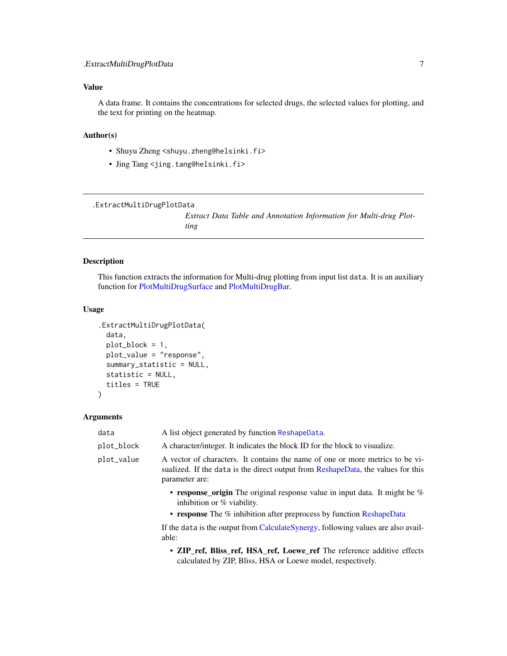# <span id="page-6-0"></span>Value

A data frame. It contains the concentrations for selected drugs, the selected values for plotting, and the text for printing on the heatmap.

### Author(s)

- Shuyu Zheng <shuyu.zheng@helsinki.fi>
- Jing Tang <jing.tang@helsinki.fi>

```
.ExtractMultiDrugPlotData
```
*Extract Data Table and Annotation Information for Multi-drug Plotting*

# Description

This function extracts the information for Multi-drug plotting from input list data. It is an auxiliary function for [PlotMultiDrugSurface](#page-50-1) and [PlotMultiDrugBar.](#page-48-1)

#### Usage

```
.ExtractMultiDrugPlotData(
  data,
 plot_block = 1,
 plot_value = "response",
  summary_statistic = NULL,
  statistic = NULL,
  titles = TRUE
)
```
#### Arguments

| data       | A list object generated by function ReshapeData.                                                                                                                                    |
|------------|-------------------------------------------------------------------------------------------------------------------------------------------------------------------------------------|
| plot_block | A character/integer. It indicates the block ID for the block to visualize.                                                                                                          |
| plot_value | A vector of characters. It contains the name of one or more metrics to be vi-<br>sualized. If the data is the direct output from ReshapeData, the values for this<br>parameter are: |
|            | • response origin The original response value in input data. It might be $\%$<br>inhibition or $%$ viability.                                                                       |
|            | • response The % inhibition after preprocess by function ReshapeData                                                                                                                |
|            | If the data is the output from CalculateSynergy, following values are also avail-<br>able:                                                                                          |
|            |                                                                                                                                                                                     |

• ZIP\_ref, Bliss\_ref, HSA\_ref, Loewe\_ref The reference additive effects calculated by ZIP, Bliss, HSA or Loewe model, respectively.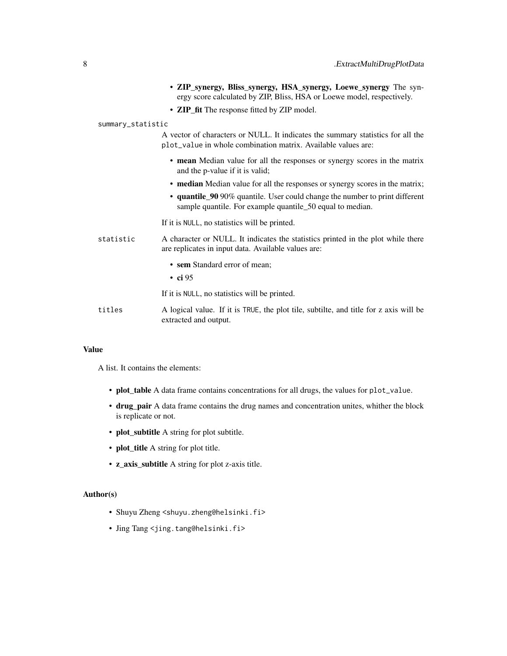|                   | • ZIP_synergy, Bliss_synergy, HSA_synergy, Loewe_synergy The syn-<br>ergy score calculated by ZIP, Bliss, HSA or Loewe model, respectively.      |
|-------------------|--------------------------------------------------------------------------------------------------------------------------------------------------|
|                   | • ZIP_fit The response fitted by ZIP model.                                                                                                      |
| summary_statistic |                                                                                                                                                  |
|                   | A vector of characters or NULL. It indicates the summary statistics for all the<br>plot_value in whole combination matrix. Available values are: |
|                   | • mean Median value for all the responses or synergy scores in the matrix<br>and the p-value if it is valid;                                     |
|                   | • median Median value for all the responses or synergy scores in the matrix;                                                                     |
|                   | • quantile_90 90% quantile. User could change the number to print different<br>sample quantile. For example quantile_50 equal to median.         |
|                   | If it is NULL, no statistics will be printed.                                                                                                    |
| statistic         | A character or NULL. It indicates the statistics printed in the plot while there<br>are replicates in input data. Available values are:          |
|                   | • sem Standard error of mean;<br>$\cdot$ ci 95                                                                                                   |
|                   | If it is NULL, no statistics will be printed.                                                                                                    |
| titles            | A logical value. If it is TRUE, the plot tile, subtilte, and title for z axis will be<br>extracted and output.                                   |
|                   |                                                                                                                                                  |

#### Value

A list. It contains the elements:

- plot\_table A data frame contains concentrations for all drugs, the values for plot\_value.
- drug\_pair A data frame contains the drug names and concentration unites, whither the block is replicate or not.
- plot\_subtitle A string for plot subtitle.
- plot\_title A string for plot title.
- z\_axis\_subtitle A string for plot z-axis title.

- Shuyu Zheng <shuyu.zheng@helsinki.fi>
- Jing Tang <jing.tang@helsinki.fi>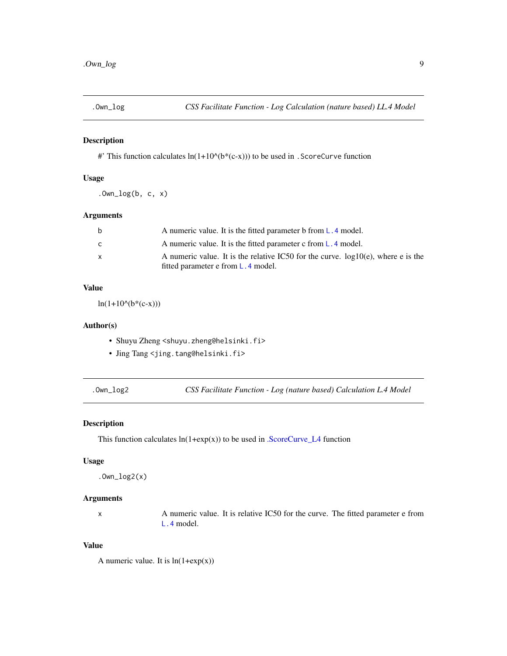<span id="page-8-0"></span>

#' This function calculates  $ln(1+10^{k}(b^{*}(c-x)))$  to be used in . ScoreCurve function

# Usage

 $.0wn\_log(b, c, x)$ 

# Arguments

| b | A numeric value. It is the fitted parameter b from L, 4 model.                       |
|---|--------------------------------------------------------------------------------------|
| C | A numeric value. It is the fitted parameter c from L.4 model.                        |
| X | A numeric value. It is the relative IC50 for the curve. $log 10(e)$ , where e is the |
|   | fitted parameter e from $L \cdot 4$ model.                                           |

# Value

 $ln(1+10^{(b*(c-x)))$ 

#### Author(s)

- Shuyu Zheng <shuyu.zheng@helsinki.fi>
- Jing Tang <jing.tang@helsinki.fi>
- 

.Own\_log2 *CSS Facilitate Function - Log (nature based) Calculation L.4 Model*

# **Description**

This function calculates  $ln(1+exp(x))$  to be used in [.ScoreCurve\\_L4](#page-12-1) function

# Usage

```
.0wn\_log2(x)
```
#### Arguments

x A numeric value. It is relative IC50 for the curve. The fitted parameter e from [L.4](#page-0-0) model.

#### Value

A numeric value. It is  $ln(1+exp(x))$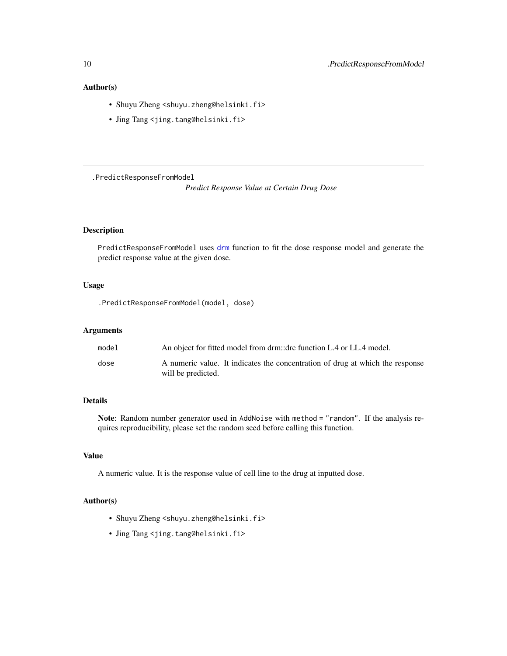# <span id="page-9-0"></span>Author(s)

- Shuyu Zheng <shuyu.zheng@helsinki.fi>
- Jing Tang <jing.tang@helsinki.fi>

.PredictResponseFromModel

*Predict Response Value at Certain Drug Dose*

# Description

PredictResponseFromModel uses [drm](#page-0-0) function to fit the dose response model and generate the predict response value at the given dose.

# Usage

.PredictResponseFromModel(model, dose)

#### Arguments

| model | An object for fitted model from drm::drc function L.4 or LL.4 model.                                |
|-------|-----------------------------------------------------------------------------------------------------|
| dose  | A numeric value. It indicates the concentration of drug at which the response<br>will be predicted. |

# Details

Note: Random number generator used in AddNoise with method = "random". If the analysis requires reproducibility, please set the random seed before calling this function.

# Value

A numeric value. It is the response value of cell line to the drug at inputted dose.

- Shuyu Zheng <shuyu.zheng@helsinki.fi>
- Jing Tang <jing.tang@helsinki.fi>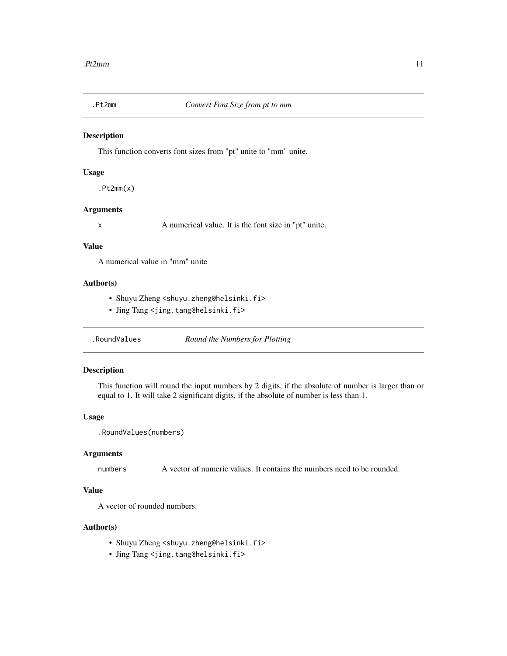<span id="page-10-0"></span>

This function converts font sizes from "pt" unite to "mm" unite.

#### Usage

 $.Pt2mm(x)$ 

# Arguments

x A numerical value. It is the font size in "pt" unite.

#### Value

A numerical value in "mm" unite

# Author(s)

- Shuyu Zheng <shuyu.zheng@helsinki.fi>
- Jing Tang <jing.tang@helsinki.fi>

.RoundValues *Round the Numbers for Plotting*

# Description

This function will round the input numbers by 2 digits, if the absolute of number is larger than or equal to 1. It will take 2 significant digits, if the absolute of number is less than 1.

#### Usage

```
.RoundValues(numbers)
```
#### Arguments

numbers A vector of numeric values. It contains the numbers need to be rounded.

# Value

A vector of rounded numbers.

- Shuyu Zheng <shuyu.zheng@helsinki.fi>
- Jing Tang <jing.tang@helsinki.fi>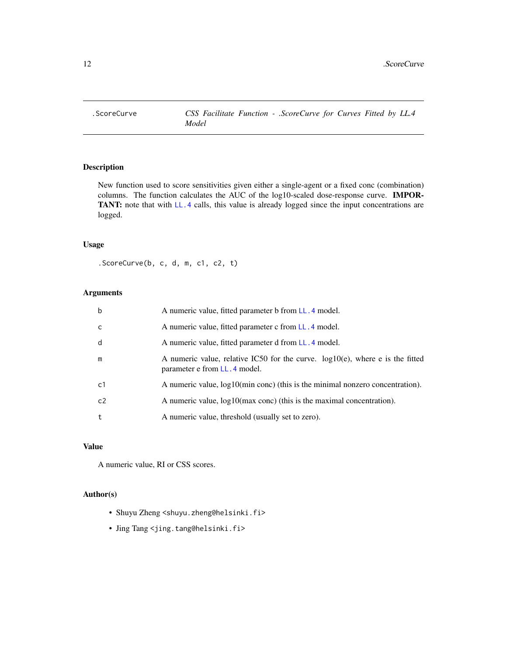<span id="page-11-0"></span>

New function used to score sensitivities given either a single-agent or a fixed conc (combination) columns. The function calculates the AUC of the log10-scaled dose-response curve. IMPOR-TANT: note that with [LL.4](#page-0-0) calls, this value is already logged since the input concentrations are logged.

#### Usage

.ScoreCurve(b, c, d, m, c1, c2, t)

# Arguments

| $\mathbf b$ | A numeric value, fitted parameter b from LL. 4 model.                                                             |
|-------------|-------------------------------------------------------------------------------------------------------------------|
| C           | A numeric value, fitted parameter c from LL, 4 model.                                                             |
| d           | A numeric value, fitted parameter d from LL, 4 model.                                                             |
| m           | A numeric value, relative IC50 for the curve. $log 10(e)$ , where e is the fitted<br>parameter e from LL.4 model. |
| c1          | A numeric value, $log10(min\text{ cone})$ (this is the minimal nonzero concentration).                            |
| c2          | A numeric value, $log10(max \text{ cone})$ (this is the maximal concentration).                                   |
| t           | A numeric value, threshold (usually set to zero).                                                                 |

## Value

A numeric value, RI or CSS scores.

- Shuyu Zheng <shuyu.zheng@helsinki.fi>
- Jing Tang <jing.tang@helsinki.fi>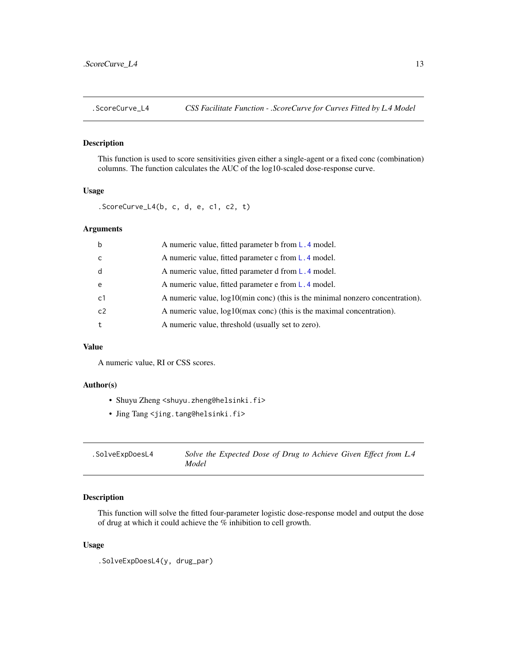<span id="page-12-1"></span><span id="page-12-0"></span>

This function is used to score sensitivities given either a single-agent or a fixed conc (combination) columns. The function calculates the AUC of the log10-scaled dose-response curve.

# Usage

.ScoreCurve\_L4(b, c, d, e, c1, c2, t)

#### Arguments

| $\mathsf b$  | A numeric value, fitted parameter b from L.4 model.                              |
|--------------|----------------------------------------------------------------------------------|
| $\mathsf{C}$ | A numeric value, fitted parameter c from L.4 model.                              |
| d            | A numeric value, fitted parameter d from L.4 model.                              |
| e            | A numeric value, fitted parameter e from L, 4 model.                             |
| c1           | A numeric value, $log10$ (min conc) (this is the minimal nonzero concentration). |
| c2           | A numeric value, $log10(max \text{ cone})$ (this is the maximal concentration).  |
| t            | A numeric value, threshold (usually set to zero).                                |
|              |                                                                                  |

# Value

A numeric value, RI or CSS scores.

#### Author(s)

- Shuyu Zheng <shuyu.zheng@helsinki.fi>
- Jing Tang <jing.tang@helsinki.fi>

| .SolveExpDoesL4 | Solve the Expected Dose of Drug to Achieve Given Effect from L.4 |
|-----------------|------------------------------------------------------------------|
|                 | Model                                                            |

# Description

This function will solve the fitted four-parameter logistic dose-response model and output the dose of drug at which it could achieve the % inhibition to cell growth.

#### Usage

```
.SolveExpDoesL4(y, drug_par)
```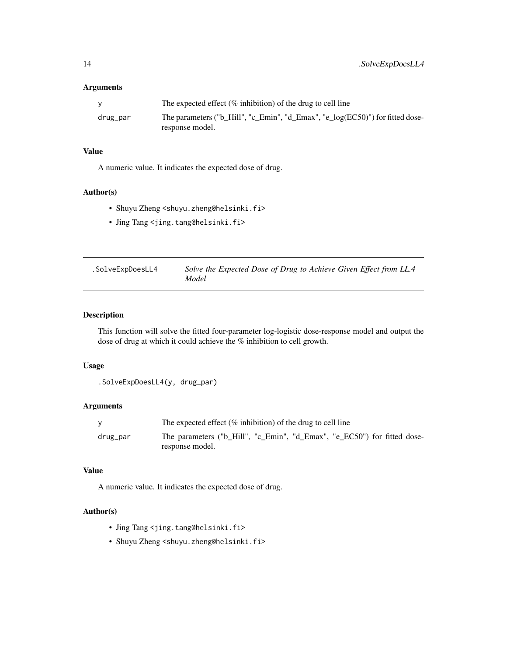# <span id="page-13-0"></span>Arguments

|          | The expected effect $(\%$ inhibition) of the drug to cell line                                   |
|----------|--------------------------------------------------------------------------------------------------|
| drug_par | The parameters ("b_Hill", "c_Emin", "d_Emax", "e_log(EC50)") for fitted dose-<br>response model. |

# Value

A numeric value. It indicates the expected dose of drug.

# Author(s)

- Shuyu Zheng <shuyu.zheng@helsinki.fi>
- Jing Tang <jing.tang@helsinki.fi>

| .SolveExpDoesLL4 | Solve the Expected Dose of Drug to Achieve Given Effect from LL.4 |
|------------------|-------------------------------------------------------------------|
|                  | Model                                                             |

# Description

This function will solve the fitted four-parameter log-logistic dose-response model and output the dose of drug at which it could achieve the % inhibition to cell growth.

# Usage

```
.SolveExpDoesLL4(y, drug_par)
```
# Arguments

|          | The expected effect $(\%$ inhibition) of the drug to cell line                              |
|----------|---------------------------------------------------------------------------------------------|
| drug_par | The parameters ("b_Hill", "c_Emin", "d_Emax", "e_EC50") for fitted dose-<br>response model. |

# Value

A numeric value. It indicates the expected dose of drug.

- Jing Tang <jing.tang@helsinki.fi>
- Shuyu Zheng <shuyu.zheng@helsinki.fi>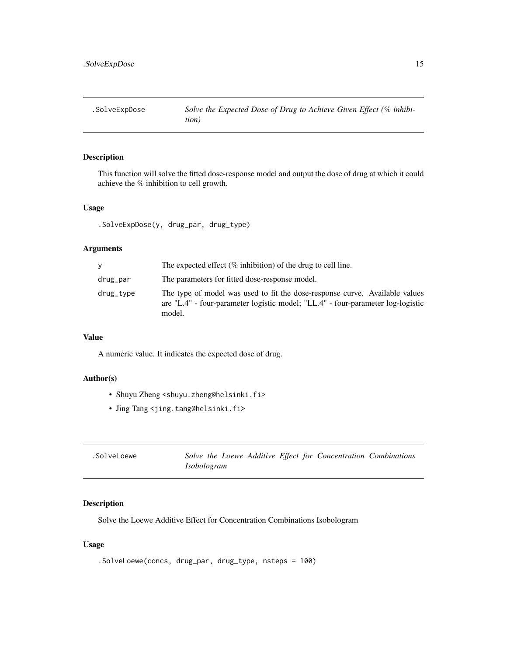<span id="page-14-0"></span>

This function will solve the fitted dose-response model and output the dose of drug at which it could achieve the % inhibition to cell growth.

#### Usage

.SolveExpDose(y, drug\_par, drug\_type)

#### Arguments

| v         | The expected effect $(\%$ inhibition) of the drug to cell line.                                                                                                          |
|-----------|--------------------------------------------------------------------------------------------------------------------------------------------------------------------------|
| drug_par  | The parameters for fitted dose-response model.                                                                                                                           |
| drug_tvpe | The type of model was used to fit the dose-response curve. Available values<br>are "L.4" - four-parameter logistic model; "LL.4" - four-parameter log-logistic<br>model. |

# Value

A numeric value. It indicates the expected dose of drug.

# Author(s)

- Shuyu Zheng <shuyu.zheng@helsinki.fi>
- Jing Tang <jing.tang@helsinki.fi>

| .SolveLoewe |             |  | Solve the Loewe Additive Effect for Concentration Combinations |  |
|-------------|-------------|--|----------------------------------------------------------------|--|
|             | Isobologram |  |                                                                |  |

# Description

Solve the Loewe Additive Effect for Concentration Combinations Isobologram

#### Usage

```
.SolveLoewe(concs, drug_par, drug_type, nsteps = 100)
```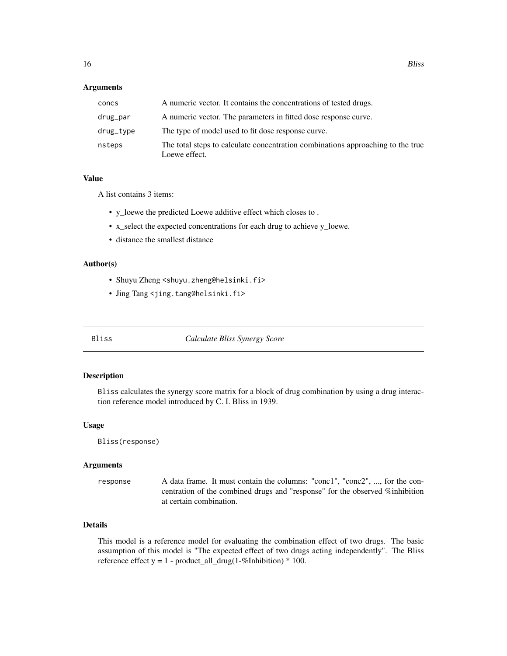#### <span id="page-15-0"></span>**Arguments**

| concs     | A numeric vector. It contains the concentrations of tested drugs.                                |
|-----------|--------------------------------------------------------------------------------------------------|
| drug_par  | A numeric vector. The parameters in fitted dose response curve.                                  |
| drug_tvpe | The type of model used to fit dose response curve.                                               |
| nsteps    | The total steps to calculate concentration combinations approaching to the true<br>Loewe effect. |

#### Value

A list contains 3 items:

- y\_loewe the predicted Loewe additive effect which closes to .
- x\_select the expected concentrations for each drug to achieve y\_loewe.
- distance the smallest distance

#### Author(s)

- Shuyu Zheng <shuyu.zheng@helsinki.fi>
- Jing Tang <jing.tang@helsinki.fi>

Bliss *Calculate Bliss Synergy Score*

#### Description

Bliss calculates the synergy score matrix for a block of drug combination by using a drug interaction reference model introduced by C. I. Bliss in 1939.

#### Usage

Bliss(response)

#### Arguments

response A data frame. It must contain the columns: "conc1", "conc2", ..., for the concentration of the combined drugs and "response" for the observed %inhibition at certain combination.

# Details

This model is a reference model for evaluating the combination effect of two drugs. The basic assumption of this model is "The expected effect of two drugs acting independently". The Bliss reference effect  $y = 1$  - product\_all\_drug(1-%Inhibition)  $*$  100.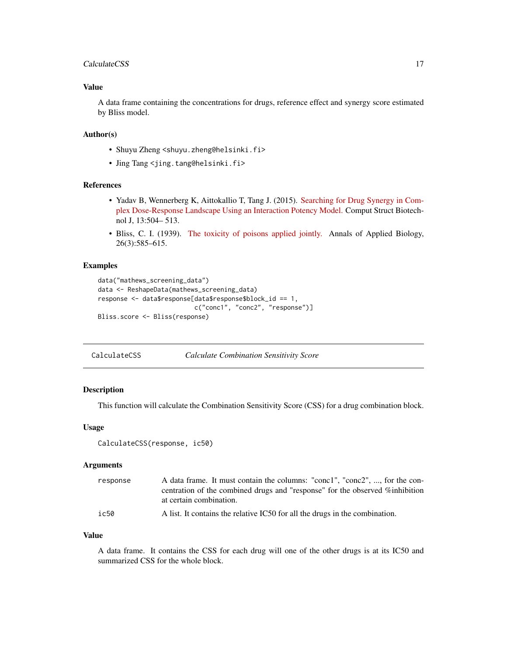#### <span id="page-16-0"></span>CalculateCSS 17

### Value

A data frame containing the concentrations for drugs, reference effect and synergy score estimated by Bliss model.

#### Author(s)

- Shuyu Zheng <shuyu.zheng@helsinki.fi>
- Jing Tang <jing.tang@helsinki.fi>

# References

- Yadav B, Wennerberg K, Aittokallio T, Tang J. (2015). [Searching for Drug Synergy in Com](https://doi.org/10.1016/j.csbj.2015.09.001)[plex Dose-Response Landscape Using an Interaction Potency Model.](https://doi.org/10.1016/j.csbj.2015.09.001) Comput Struct Biotechnol J, 13:504– 513.
- Bliss, C. I. (1939). [The toxicity of poisons applied jointly.](https://onlinelibrary.wiley.com/doi/abs/10.1111/j.1744-7348.1939.tb06990.x) Annals of Applied Biology, 26(3):585–615.

#### Examples

```
data("mathews_screening_data")
data <- ReshapeData(mathews_screening_data)
response <- data$response[data$response$block_id == 1,
                         c("conc1", "conc2", "response")]
Bliss.score <- Bliss(response)
```
CalculateCSS *Calculate Combination Sensitivity Score*

# Description

This function will calculate the Combination Sensitivity Score (CSS) for a drug combination block.

#### Usage

```
CalculateCSS(response, ic50)
```
#### Arguments

| response | A data frame. It must contain the columns: "conc1", "conc2", , for the con-  |
|----------|------------------------------------------------------------------------------|
|          | centration of the combined drugs and "response" for the observed %inhibition |
|          | at certain combination.                                                      |
| ic50     | A list. It contains the relative IC50 for all the drugs in the combination.  |

#### Value

A data frame. It contains the CSS for each drug will one of the other drugs is at its IC50 and summarized CSS for the whole block.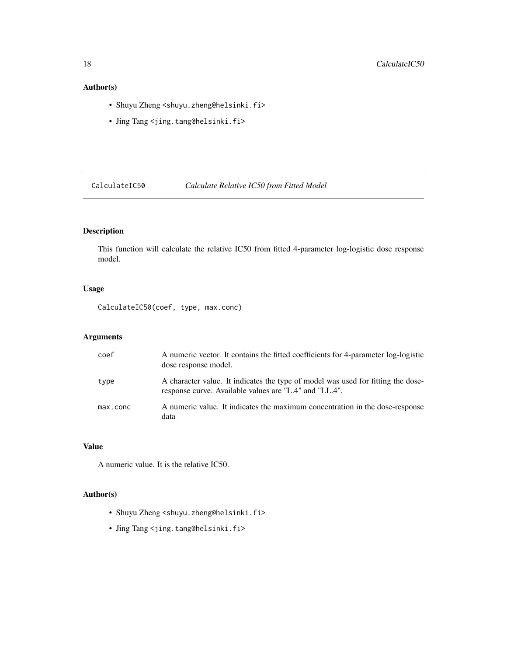# <span id="page-17-0"></span>Author(s)

- Shuyu Zheng <shuyu.zheng@helsinki.fi>
- Jing Tang <jing.tang@helsinki.fi>

CalculateIC50 *Calculate Relative IC50 from Fitted Model*

# Description

This function will calculate the relative IC50 from fitted 4-parameter log-logistic dose response model.

# Usage

CalculateIC50(coef, type, max.conc)

# Arguments

| coef     | A numeric vector. It contains the fitted coefficients for 4-parameter log-logistic<br>dose response model.                                 |
|----------|--------------------------------------------------------------------------------------------------------------------------------------------|
| type     | A character value. It indicates the type of model was used for fitting the dose-<br>response curve. Available values are "L.4" and "LL.4". |
| max.conc | A numeric value. It indicates the maximum concentration in the dose-response<br>data                                                       |

# Value

A numeric value. It is the relative IC50.

- Shuyu Zheng <shuyu.zheng@helsinki.fi>
- Jing Tang <jing.tang@helsinki.fi>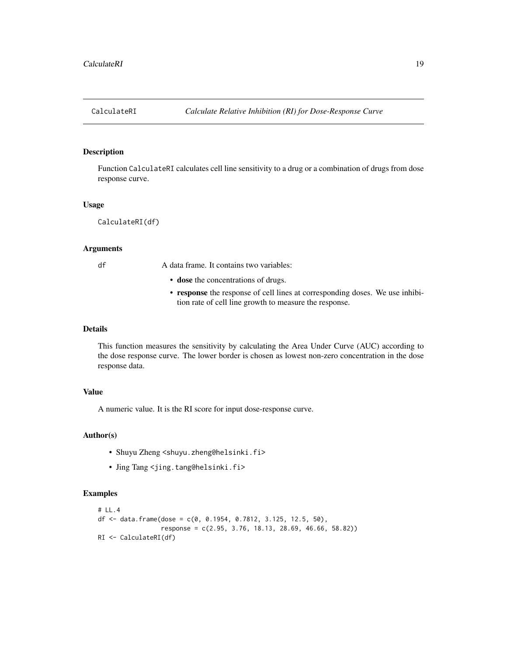<span id="page-18-0"></span>

Function CalculateRI calculates cell line sensitivity to a drug or a combination of drugs from dose response curve.

#### Usage

CalculateRI(df)

#### Arguments

df A data frame. It contains two variables:

- dose the concentrations of drugs.
- response the response of cell lines at corresponding doses. We use inhibition rate of cell line growth to measure the response.

#### Details

This function measures the sensitivity by calculating the Area Under Curve (AUC) according to the dose response curve. The lower border is chosen as lowest non-zero concentration in the dose response data.

# Value

A numeric value. It is the RI score for input dose-response curve.

#### Author(s)

- Shuyu Zheng <shuyu.zheng@helsinki.fi>
- Jing Tang <jing.tang@helsinki.fi>

#### Examples

```
# LL.4
df <- data.frame(dose = c(0, 0.1954, 0.7812, 3.125, 12.5, 50),
                 response = c(2.95, 3.76, 18.13, 28.69, 46.66, 58.82))
RI <- CalculateRI(df)
```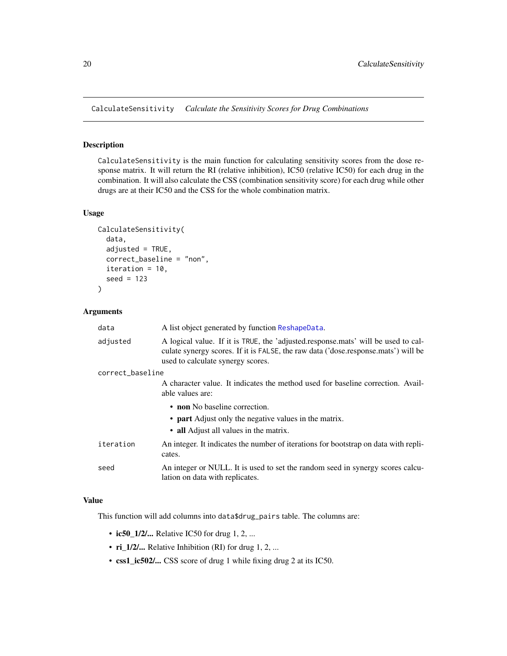<span id="page-19-1"></span><span id="page-19-0"></span>CalculateSensitivity *Calculate the Sensitivity Scores for Drug Combinations*

#### Description

CalculateSensitivity is the main function for calculating sensitivity scores from the dose response matrix. It will return the RI (relative inhibition), IC50 (relative IC50) for each drug in the combination. It will also calculate the CSS (combination sensitivity score) for each drug while other drugs are at their IC50 and the CSS for the whole combination matrix.

# Usage

```
CalculateSensitivity(
  data,
  adjusted = TRUE,correct_baseline = "non",
  iteration = 10,
  seed = 123)
```
#### Arguments

| data             | A list object generated by function ReshapeData.                                                                                                                                                             |  |
|------------------|--------------------------------------------------------------------------------------------------------------------------------------------------------------------------------------------------------------|--|
| adjusted         | A logical value. If it is TRUE, the 'adjusted.response.mats' will be used to cal-<br>culate synergy scores. If it is FALSE, the raw data ('dose.response.mats') will be<br>used to calculate synergy scores. |  |
| correct_baseline |                                                                                                                                                                                                              |  |
|                  | A character value. It indicates the method used for baseline correction. Avail-<br>able values are:                                                                                                          |  |
|                  | • non No baseline correction.<br>• part Adjust only the negative values in the matrix.<br>• all Adjust all values in the matrix.                                                                             |  |
| iteration        | An integer. It indicates the number of iterations for bootstrap on data with repli-<br>cates.                                                                                                                |  |
| seed             | An integer or NULL. It is used to set the random seed in synergy scores calcu-<br>lation on data with replicates.                                                                                            |  |

#### Value

This function will add columns into data\$drug\_pairs table. The columns are:

- ic50\_1/2/... Relative IC50 for drug  $1, 2, ...$
- ri\_1/2/... Relative Inhibition (RI) for drug 1, 2, ...
- css1\_ic502/... CSS score of drug 1 while fixing drug 2 at its IC50.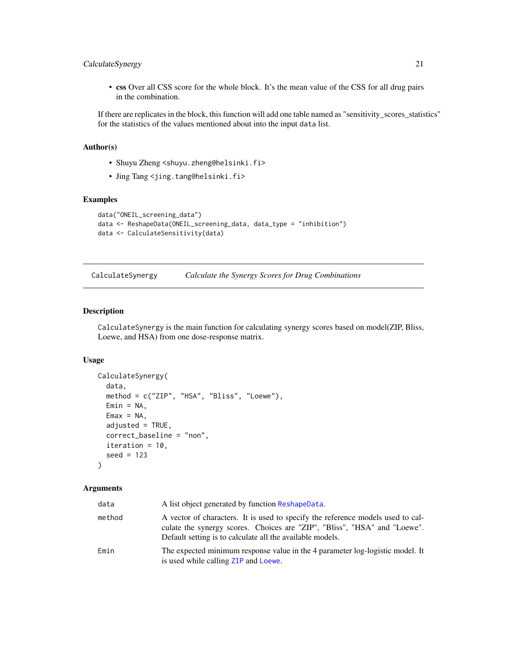# <span id="page-20-0"></span>CalculateSynergy 21

• css Over all CSS score for the whole block. It's the mean value of the CSS for all drug pairs in the combination.

If there are replicates in the block, this function will add one table named as "sensitivity\_scores\_statistics" for the statistics of the values mentioned about into the input data list.

# Author(s)

- Shuyu Zheng <shuyu.zheng@helsinki.fi>
- Jing Tang <jing.tang@helsinki.fi>

# Examples

```
data("ONEIL_screening_data")
data <- ReshapeData(ONEIL_screening_data, data_type = "inhibition")
data <- CalculateSensitivity(data)
```
<span id="page-20-1"></span>CalculateSynergy *Calculate the Synergy Scores for Drug Combinations*

#### Description

CalculateSynergy is the main function for calculating synergy scores based on model(ZIP, Bliss, Loewe, and HSA) from one dose-response matrix.

#### Usage

```
CalculateSynergy(
  data,
  method = c("ZIP", "HSA", "Bliss", "Loewe"),
 Emin = NA,
  Emax = NA,
  adjusted = TRUE,correct_baseline = "non",
  iteration = 10,
  seed = 123)
```
#### Arguments

| data   | A list object generated by function ReshapeData.                                                                                                                                                                          |
|--------|---------------------------------------------------------------------------------------------------------------------------------------------------------------------------------------------------------------------------|
| method | A vector of characters. It is used to specify the reference models used to cal-<br>culate the synergy scores. Choices are "ZIP", "Bliss", "HSA" and "Loewe".<br>Default setting is to calculate all the available models. |
| Emin   | The expected minimum response value in the 4 parameter log-logistic model. It<br>is used while calling ZIP and Loewe.                                                                                                     |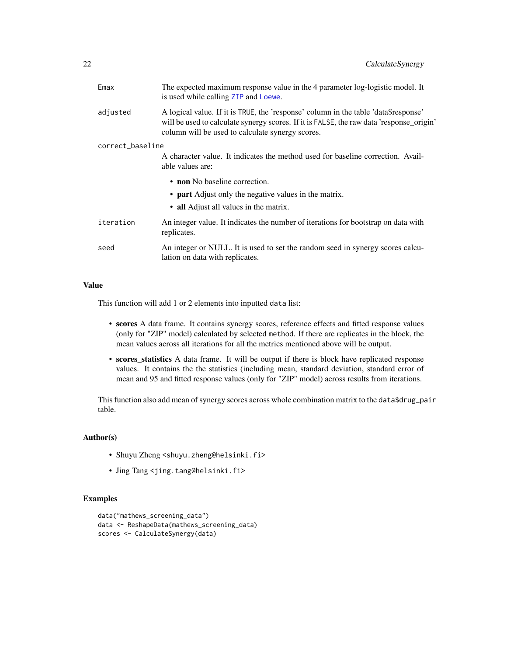<span id="page-21-0"></span>

| Emax             | The expected maximum response value in the 4 parameter log-logistic model. It<br>is used while calling ZIP and Loewe.                                                                                                               |  |  |
|------------------|-------------------------------------------------------------------------------------------------------------------------------------------------------------------------------------------------------------------------------------|--|--|
| adjusted         | A logical value. If it is TRUE, the 'response' column in the table 'data\$response'<br>will be used to calculate synergy scores. If it is FALSE, the raw data 'response_origin'<br>column will be used to calculate synergy scores. |  |  |
| correct_baseline |                                                                                                                                                                                                                                     |  |  |
|                  | A character value. It indicates the method used for baseline correction. Avail-<br>able values are:                                                                                                                                 |  |  |
|                  | • non No baseline correction.                                                                                                                                                                                                       |  |  |
|                  | • <b>part</b> Adjust only the negative values in the matrix.                                                                                                                                                                        |  |  |
|                  | • all Adjust all values in the matrix.                                                                                                                                                                                              |  |  |
| iteration        | An integer value. It indicates the number of iterations for bootstrap on data with<br>replicates.                                                                                                                                   |  |  |
| seed             | An integer or NULL. It is used to set the random seed in synergy scores calcu-<br>lation on data with replicates.                                                                                                                   |  |  |
|                  |                                                                                                                                                                                                                                     |  |  |

# Value

This function will add 1 or 2 elements into inputted data list:

- scores A data frame. It contains synergy scores, reference effects and fitted response values (only for "ZIP" model) calculated by selected method. If there are replicates in the block, the mean values across all iterations for all the metrics mentioned above will be output.
- scores\_statistics A data frame. It will be output if there is block have replicated response values. It contains the the statistics (including mean, standard deviation, standard error of mean and 95 and fitted response values (only for "ZIP" model) across results from iterations.

This function also add mean of synergy scores across whole combination matrix to the data\$drug\_pair table.

#### Author(s)

- Shuyu Zheng <shuyu.zheng@helsinki.fi>
- Jing Tang <jing.tang@helsinki.fi>

#### Examples

```
data("mathews_screening_data")
data <- ReshapeData(mathews_screening_data)
scores <- CalculateSynergy(data)
```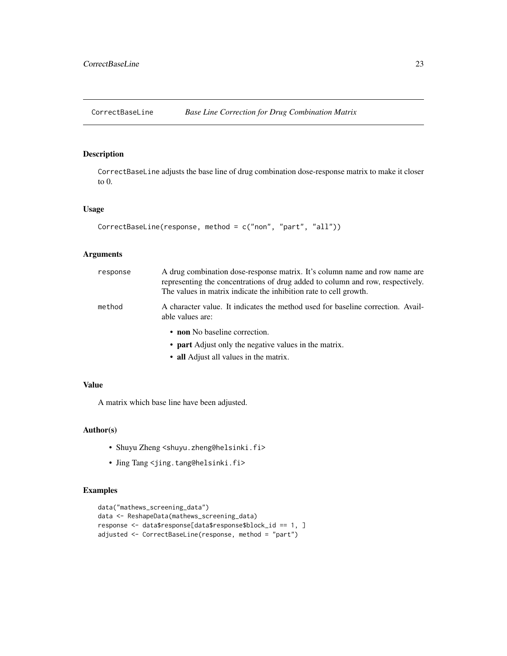<span id="page-22-0"></span>

CorrectBaseLine adjusts the base line of drug combination dose-response matrix to make it closer to 0.

#### Usage

```
CorrectBaseLine(response, method = c("non", "part", "all"))
```
# Arguments

| response | A drug combination dose-response matrix. It's column name and row name are<br>representing the concentrations of drug added to column and row, respectively.<br>The values in matrix indicate the inhibition rate to cell growth. |
|----------|-----------------------------------------------------------------------------------------------------------------------------------------------------------------------------------------------------------------------------------|
| method   | A character value. It indicates the method used for baseline correction. Avail-<br>able values are:                                                                                                                               |
|          | • non No baseline correction.                                                                                                                                                                                                     |
|          | • part Adjust only the negative values in the matrix.                                                                                                                                                                             |
|          | • all Adjust all values in the matrix.                                                                                                                                                                                            |

# Value

A matrix which base line have been adjusted.

# Author(s)

- Shuyu Zheng <shuyu.zheng@helsinki.fi>
- Jing Tang <jing.tang@helsinki.fi>

# Examples

```
data("mathews_screening_data")
data <- ReshapeData(mathews_screening_data)
response <- data$response[data$response$block_id == 1, ]
adjusted <- CorrectBaseLine(response, method = "part")
```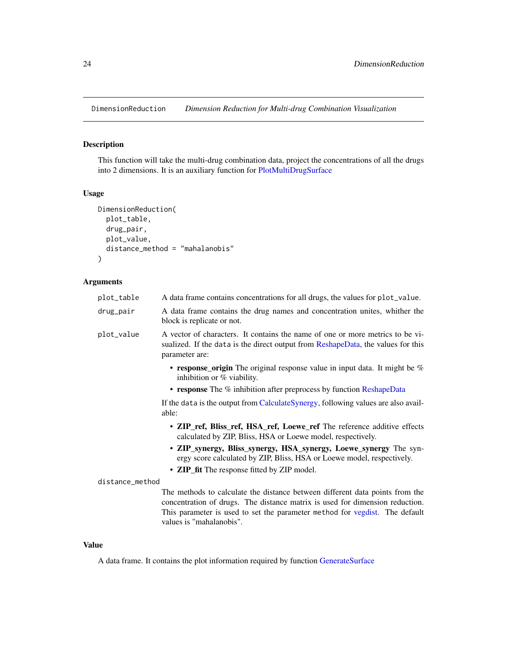<span id="page-23-1"></span><span id="page-23-0"></span>DimensionReduction *Dimension Reduction for Multi-drug Combination Visualization*

# Description

This function will take the multi-drug combination data, project the concentrations of all the drugs into 2 dimensions. It is an auxiliary function for [PlotMultiDrugSurface](#page-50-1)

# Usage

```
DimensionReduction(
 plot_table,
  drug_pair,
 plot_value,
  distance_method = "mahalanobis"
)
```
# Arguments

| A data frame contains concentrations for all drugs, the values for plot_value.                                                                                                                                                                                          |
|-------------------------------------------------------------------------------------------------------------------------------------------------------------------------------------------------------------------------------------------------------------------------|
| A data frame contains the drug names and concentration unites, whither the<br>block is replicate or not.                                                                                                                                                                |
| A vector of characters. It contains the name of one or more metrics to be vi-<br>sualized. If the data is the direct output from ReshapeData, the values for this<br>parameter are:                                                                                     |
| • response_origin The original response value in input data. It might be $%$<br>inhibition or $%$ viability.                                                                                                                                                            |
| • response The $\%$ inhibition after preprocess by function ReshapeData                                                                                                                                                                                                 |
| If the data is the output from CalculateSynergy, following values are also avail-<br>able:                                                                                                                                                                              |
| • ZIP_ref, Bliss_ref, HSA_ref, Loewe_ref The reference additive effects<br>calculated by ZIP, Bliss, HSA or Loewe model, respectively.                                                                                                                                  |
| • ZIP_synergy, Bliss_synergy, HSA_synergy, Loewe_synergy The syn-<br>ergy score calculated by ZIP, Bliss, HSA or Loewe model, respectively.                                                                                                                             |
| • ZIP_fit The response fitted by ZIP model.                                                                                                                                                                                                                             |
| distance_method                                                                                                                                                                                                                                                         |
| The methods to calculate the distance between different data points from the<br>concentration of drugs. The distance matrix is used for dimension reduction.<br>This parameter is used to set the parameter method for vegdist. The default<br>values is "mahalanobis". |
|                                                                                                                                                                                                                                                                         |

# Value

A data frame. It contains the plot information required by function [GenerateSurface](#page-27-1)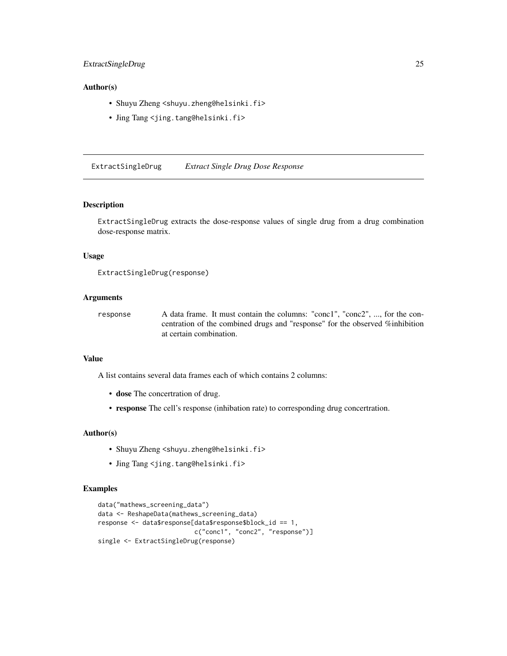# <span id="page-24-0"></span>Author(s)

- Shuyu Zheng <shuyu.zheng@helsinki.fi>
- Jing Tang <jing.tang@helsinki.fi>

<span id="page-24-1"></span>ExtractSingleDrug *Extract Single Drug Dose Response*

# Description

ExtractSingleDrug extracts the dose-response values of single drug from a drug combination dose-response matrix.

# Usage

```
ExtractSingleDrug(response)
```
#### **Arguments**

response A data frame. It must contain the columns: "conc1", "conc2", ..., for the concentration of the combined drugs and "response" for the observed %inhibition at certain combination.

# Value

A list contains several data frames each of which contains 2 columns:

- dose The concertration of drug.
- response The cell's response (inhibation rate) to corresponding drug concertration.

#### Author(s)

- Shuyu Zheng <shuyu.zheng@helsinki.fi>
- Jing Tang <jing.tang@helsinki.fi>

# Examples

```
data("mathews_screening_data")
data <- ReshapeData(mathews_screening_data)
response <- data$response[data$response$block_id == 1,
                         c("conc1", "conc2", "response")]
single <- ExtractSingleDrug(response)
```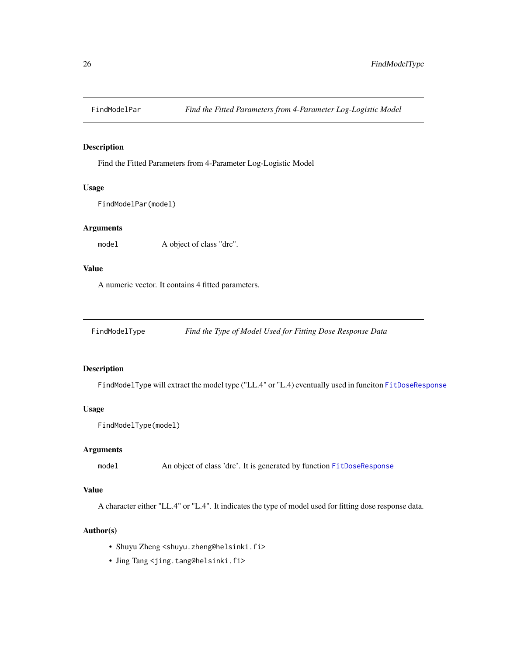<span id="page-25-0"></span>

Find the Fitted Parameters from 4-Parameter Log-Logistic Model

#### Usage

FindModelPar(model)

# Arguments

model A object of class "drc".

# Value

A numeric vector. It contains 4 fitted parameters.

FindModelType *Find the Type of Model Used for Fitting Dose Response Data*

# Description

FindModelType will extract the model type ("LL.4" or "L.4) eventually used in funciton [FitDoseResponse](#page-26-1)

# Usage

```
FindModelType(model)
```
#### Arguments

model An object of class 'drc'. It is generated by function [FitDoseResponse](#page-26-1)

#### Value

A character either "LL.4" or "L.4". It indicates the type of model used for fitting dose response data.

- Shuyu Zheng <shuyu.zheng@helsinki.fi>
- Jing Tang <jing.tang@helsinki.fi>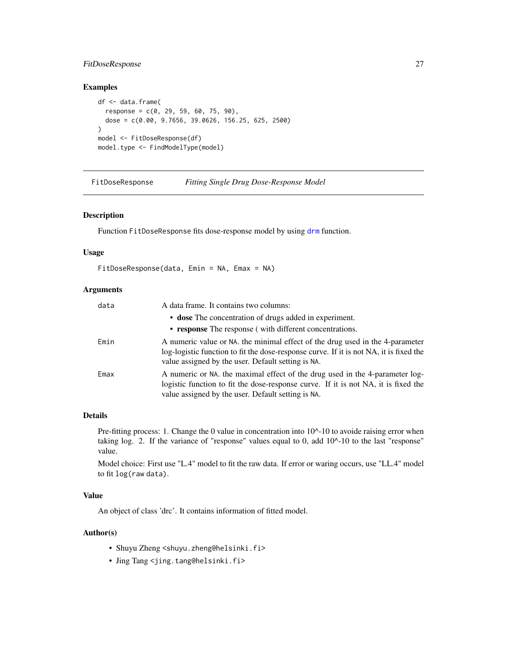# <span id="page-26-0"></span>FitDoseResponse 27

# Examples

```
df <- data.frame(
  response = c(0, 29, 59, 60, 75, 90),
  dose = c(0.00, 9.7656, 39.0626, 156.25, 625, 2500)
\lambdamodel <- FitDoseResponse(df)
model.type <- FindModelType(model)
```
<span id="page-26-1"></span>

| FitDoseResponse |  |  | Fitting Single Drug Dose-Response Model |  |
|-----------------|--|--|-----------------------------------------|--|
|                 |  |  |                                         |  |

### Description

Function FitDoseResponse fits dose-response model by using [drm](#page-0-0) function.

# Usage

```
FitDoseResponse(data, Emin = NA, Emax = NA)
```
#### Arguments

| data | A data frame. It contains two columns:                                                                                                                                                                                        |
|------|-------------------------------------------------------------------------------------------------------------------------------------------------------------------------------------------------------------------------------|
|      | • dose The concentration of drugs added in experiment.                                                                                                                                                                        |
|      | • response The response (with different concentrations.                                                                                                                                                                       |
| Emin | A numeric value or NA, the minimal effect of the drug used in the 4-parameter<br>log-logistic function to fit the dose-response curve. If it is not NA, it is fixed the<br>value assigned by the user. Default setting is NA. |
| Emax | A numeric or NA. the maximal effect of the drug used in the 4-parameter log-<br>logistic function to fit the dose-response curve. If it is not NA, it is fixed the<br>value assigned by the user. Default setting is NA.      |

# Details

Pre-fitting process: 1. Change the 0 value in concentration into 10^-10 to avoide raising error when taking log. 2. If the variance of "response" values equal to 0, add 10^-10 to the last "response" value.

Model choice: First use "L.4" model to fit the raw data. If error or waring occurs, use "LL.4" model to fit log(raw data).

# Value

An object of class 'drc'. It contains information of fitted model.

- Shuyu Zheng <shuyu.zheng@helsinki.fi>
- Jing Tang <jing.tang@helsinki.fi>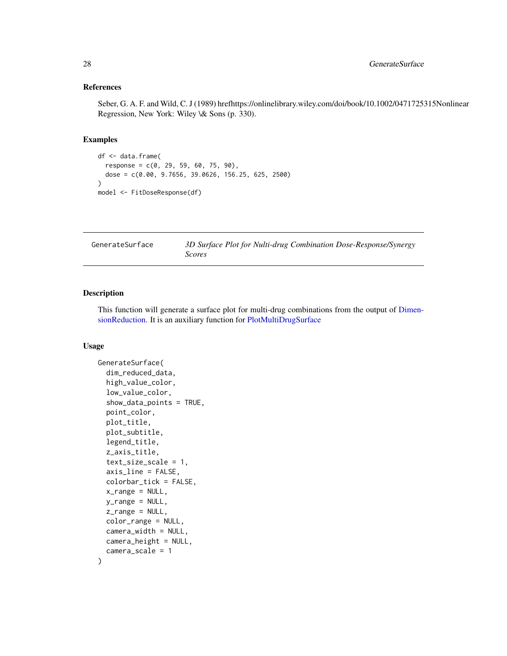#### <span id="page-27-0"></span>References

Seber, G. A. F. and Wild, C. J (1989) hrefhttps://onlinelibrary.wiley.com/doi/book/10.1002/0471725315Nonlinear Regression, New York: Wiley \& Sons (p. 330).

#### Examples

```
df <- data.frame(
  response = c(0, 29, 59, 60, 75, 90),
  dose = c(0.00, 9.7656, 39.0626, 156.25, 625, 2500)
)
model <- FitDoseResponse(df)
```
<span id="page-27-1"></span>

| GenerateSurface | 3D Surface Plot for Nulti-drug Combination Dose-Response/Synergy |
|-----------------|------------------------------------------------------------------|
|                 | Scores                                                           |

# Description

This function will generate a surface plot for multi-drug combinations from the output of [Dimen](#page-23-1)[sionReduction.](#page-23-1) It is an auxiliary function for [PlotMultiDrugSurface](#page-50-1)

# Usage

```
GenerateSurface(
  dim_reduced_data,
  high_value_color,
  low_value_color,
  show_data_points = TRUE,
  point_color,
 plot_title,
 plot_subtitle,
  legend_title,
  z_axis_title,
  text_size_scale = 1,
  axis_line = FALSE,
  colorbar_tick = FALSE,
  x_range = NULL,
 y_range = NULL,
  z<sub>range</sub> = NULL,
 color_range = NULL,
  camera_width = NULL,
 camera_height = NULL,
  camera_scale = 1
)
```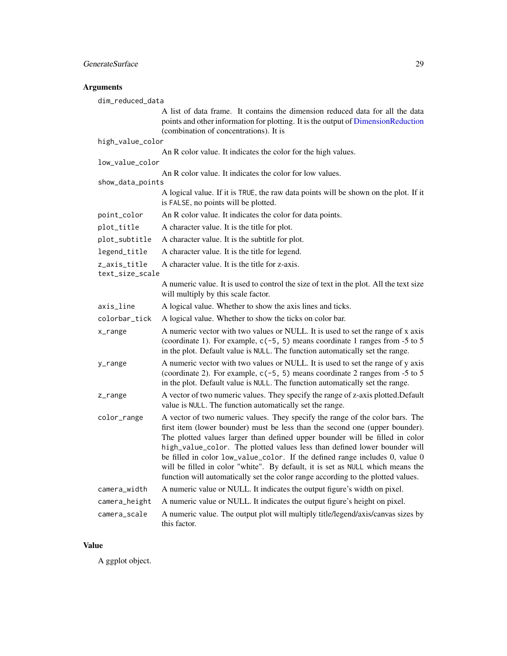# <span id="page-28-0"></span>Arguments

| dim_reduced_data                |                                                                                                                                                                                                                                                                                                                                                                                                                                                                                                                                                                                  |
|---------------------------------|----------------------------------------------------------------------------------------------------------------------------------------------------------------------------------------------------------------------------------------------------------------------------------------------------------------------------------------------------------------------------------------------------------------------------------------------------------------------------------------------------------------------------------------------------------------------------------|
|                                 | A list of data frame. It contains the dimension reduced data for all the data<br>points and other information for plotting. It is the output of DimensionReduction<br>(combination of concentrations). It is                                                                                                                                                                                                                                                                                                                                                                     |
| high_value_color                |                                                                                                                                                                                                                                                                                                                                                                                                                                                                                                                                                                                  |
|                                 | An R color value. It indicates the color for the high values.                                                                                                                                                                                                                                                                                                                                                                                                                                                                                                                    |
| low_value_color                 |                                                                                                                                                                                                                                                                                                                                                                                                                                                                                                                                                                                  |
| show_data_points                | An R color value. It indicates the color for low values.                                                                                                                                                                                                                                                                                                                                                                                                                                                                                                                         |
|                                 | A logical value. If it is TRUE, the raw data points will be shown on the plot. If it<br>is FALSE, no points will be plotted.                                                                                                                                                                                                                                                                                                                                                                                                                                                     |
| point_color                     | An R color value. It indicates the color for data points.                                                                                                                                                                                                                                                                                                                                                                                                                                                                                                                        |
| plot_title                      | A character value. It is the title for plot.                                                                                                                                                                                                                                                                                                                                                                                                                                                                                                                                     |
| plot_subtitle                   | A character value. It is the subtitle for plot.                                                                                                                                                                                                                                                                                                                                                                                                                                                                                                                                  |
| legend_title                    | A character value. It is the title for legend.                                                                                                                                                                                                                                                                                                                                                                                                                                                                                                                                   |
| z_axis_title<br>text_size_scale | A character value. It is the title for z-axis.                                                                                                                                                                                                                                                                                                                                                                                                                                                                                                                                   |
|                                 | A numeric value. It is used to control the size of text in the plot. All the text size<br>will multiply by this scale factor.                                                                                                                                                                                                                                                                                                                                                                                                                                                    |
| axis_line                       | A logical value. Whether to show the axis lines and ticks.                                                                                                                                                                                                                                                                                                                                                                                                                                                                                                                       |
| colorbar_tick                   | A logical value. Whether to show the ticks on color bar.                                                                                                                                                                                                                                                                                                                                                                                                                                                                                                                         |
| x_range                         | A numeric vector with two values or NULL. It is used to set the range of x axis<br>(coordinate 1). For example, $c(-5, 5)$ means coordinate 1 ranges from -5 to 5<br>in the plot. Default value is NULL. The function automatically set the range.                                                                                                                                                                                                                                                                                                                               |
| y_range                         | A numeric vector with two values or NULL. It is used to set the range of y axis<br>(coordinate 2). For example, $c(-5, 5)$ means coordinate 2 ranges from -5 to 5<br>in the plot. Default value is NULL. The function automatically set the range.                                                                                                                                                                                                                                                                                                                               |
| z_range                         | A vector of two numeric values. They specify the range of z-axis plotted. Default<br>value is NULL. The function automatically set the range.                                                                                                                                                                                                                                                                                                                                                                                                                                    |
| color_range                     | A vector of two numeric values. They specify the range of the color bars. The<br>first item (lower bounder) must be less than the second one (upper bounder).<br>The plotted values larger than defined upper bounder will be filled in color<br>high_value_color. The plotted values less than defined lower bounder will<br>be filled in color low_value_color. If the defined range includes 0, value 0<br>will be filled in color "white". By default, it is set as NULL which means the<br>function will automatically set the color range according to the plotted values. |
| camera_width                    | A numeric value or NULL. It indicates the output figure's width on pixel.                                                                                                                                                                                                                                                                                                                                                                                                                                                                                                        |
| camera_height                   | A numeric value or NULL. It indicates the output figure's height on pixel.                                                                                                                                                                                                                                                                                                                                                                                                                                                                                                       |
| camera_scale                    | A numeric value. The output plot will multiply title/legend/axis/canvas sizes by<br>this factor.                                                                                                                                                                                                                                                                                                                                                                                                                                                                                 |

# Value

A ggplot object.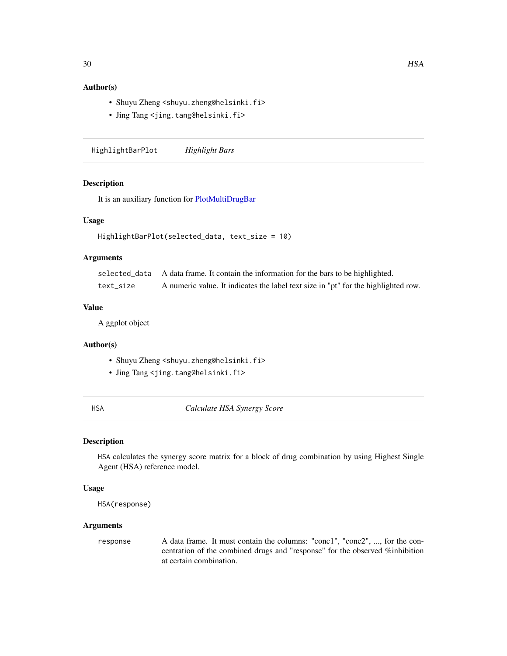# <span id="page-29-0"></span>Author(s)

- Shuyu Zheng <shuyu.zheng@helsinki.fi>
- Jing Tang <jing.tang@helsinki.fi>

HighlightBarPlot *Highlight Bars*

# Description

It is an auxiliary function for [PlotMultiDrugBar](#page-48-1)

#### Usage

```
HighlightBarPlot(selected_data, text_size = 10)
```
#### Arguments

|           | selected_data A data frame. It contain the information for the bars to be highlighted. |
|-----------|----------------------------------------------------------------------------------------|
| text size | A numeric value. It indicates the label text size in "pt" for the highlighted row.     |

#### Value

A ggplot object

#### Author(s)

- Shuyu Zheng <shuyu.zheng@helsinki.fi>
- Jing Tang <jing.tang@helsinki.fi>

HSA *Calculate HSA Synergy Score*

#### Description

HSA calculates the synergy score matrix for a block of drug combination by using Highest Single Agent (HSA) reference model.

# Usage

```
HSA(response)
```
#### Arguments

response A data frame. It must contain the columns: "conc1", "conc2", ..., for the concentration of the combined drugs and "response" for the observed %inhibition at certain combination.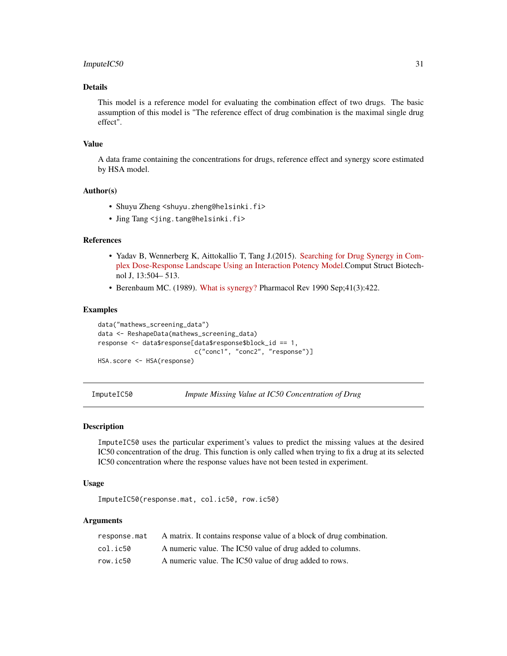# <span id="page-30-0"></span>ImputeIC50 31

# Details

This model is a reference model for evaluating the combination effect of two drugs. The basic assumption of this model is "The reference effect of drug combination is the maximal single drug effect".

#### Value

A data frame containing the concentrations for drugs, reference effect and synergy score estimated by HSA model.

# Author(s)

- Shuyu Zheng <shuyu.zheng@helsinki.fi>
- Jing Tang <jing.tang@helsinki.fi>

#### References

- Yadav B, Wennerberg K, Aittokallio T, Tang J.(2015). [Searching for Drug Synergy in Com](https://doi.org/10.1016/j.csbj.2015.09.001)[plex Dose-Response Landscape Using an Interaction Potency Model.C](https://doi.org/10.1016/j.csbj.2015.09.001)omput Struct Biotechnol J, 13:504– 513.
- Berenbaum MC. (1989). [What is synergy?](https://www.ncbi.nlm.nih.gov/pubmed/2692037) Pharmacol Rev 1990 Sep;41(3):422.

#### Examples

```
data("mathews_screening_data")
data <- ReshapeData(mathews_screening_data)
response <- data$response[data$response$block_id == 1,
                          c("conc1", "conc2", "response")]
HSA.score <- HSA(response)
```
ImputeIC50 *Impute Missing Value at IC50 Concentration of Drug*

#### Description

ImputeIC50 uses the particular experiment's values to predict the missing values at the desired IC50 concentration of the drug. This function is only called when trying to fix a drug at its selected IC50 concentration where the response values have not been tested in experiment.

#### Usage

ImputeIC50(response.mat, col.ic50, row.ic50)

#### Arguments

| response.mat | A matrix. It contains response value of a block of drug combination. |
|--------------|----------------------------------------------------------------------|
| col.ic50     | A numeric value. The IC50 value of drug added to columns.            |
| row.ic50     | A numeric value. The IC50 value of drug added to rows.               |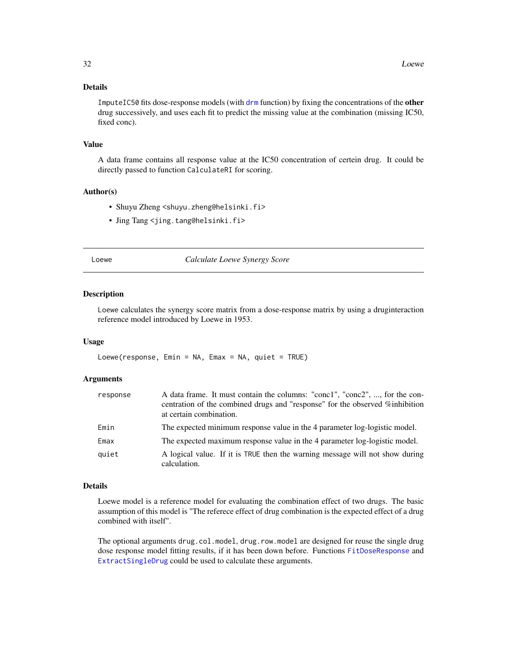# <span id="page-31-0"></span>Details

ImputeIC50 fits dose-response models (with [drm](#page-0-0) function) by fixing the concentrations of the **other** drug successively, and uses each fit to predict the missing value at the combination (missing IC50, fixed conc).

#### Value

A data frame contains all response value at the IC50 concentration of certein drug. It could be directly passed to function CalculateRI for scoring.

#### Author(s)

- Shuyu Zheng <shuyu.zheng@helsinki.fi>
- Jing Tang <jing.tang@helsinki.fi>

Loewe *Calculate Loewe Synergy Score*

#### Description

Loewe calculates the synergy score matrix from a dose-response matrix by using a druginteraction reference model introduced by Loewe in 1953.

#### Usage

Loewe(response, Emin = NA, Emax = NA, quiet = TRUE)

#### Arguments

| response | A data frame. It must contain the columns: "conc1", "conc2", , for the con-<br>centration of the combined drugs and "response" for the observed %inhibition<br>at certain combination. |
|----------|----------------------------------------------------------------------------------------------------------------------------------------------------------------------------------------|
| Emin     | The expected minimum response value in the 4 parameter log-logistic model.                                                                                                             |
| Emax     | The expected maximum response value in the 4 parameter log-logistic model.                                                                                                             |
| quiet    | A logical value. If it is TRUE then the warning message will not show during<br>calculation.                                                                                           |

#### Details

Loewe model is a reference model for evaluating the combination effect of two drugs. The basic assumption of this model is "The referece effect of drug combination is the expected effect of a drug combined with itself".

The optional arguments drug.col.model, drug.row.model are designed for reuse the single drug dose response model fitting results, if it has been down before. Functions [FitDoseResponse](#page-26-1) and [ExtractSingleDrug](#page-24-1) could be used to calculate these arguments.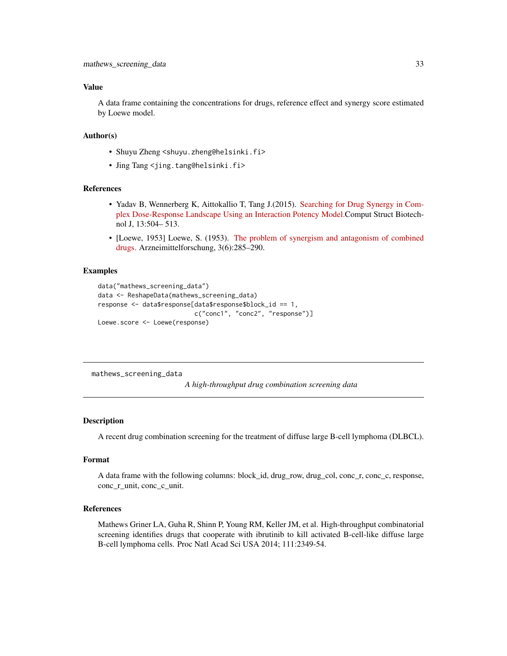### <span id="page-32-0"></span>Value

A data frame containing the concentrations for drugs, reference effect and synergy score estimated by Loewe model.

# Author(s)

- Shuyu Zheng <shuyu.zheng@helsinki.fi>
- Jing Tang <jing.tang@helsinki.fi>

#### References

- Yadav B, Wennerberg K, Aittokallio T, Tang J.(2015). [Searching for Drug Synergy in Com](https://doi.org/10.1016/j.csbj.2015.09.001)[plex Dose-Response Landscape Using an Interaction Potency Model.C](https://doi.org/10.1016/j.csbj.2015.09.001)omput Struct Biotechnol J, 13:504– 513.
- [Loewe, 1953] Loewe, S. (1953). [The problem of synergism and antagonism of combined](https://www.ncbi.nlm.nih.gov/pubmed/13081480) [drugs.](https://www.ncbi.nlm.nih.gov/pubmed/13081480) Arzneimittelforschung, 3(6):285–290.

#### Examples

```
data("mathews_screening_data")
data <- ReshapeData(mathews_screening_data)
response <- data$response[data$response$block_id == 1,
                          c("conc1", "conc2", "response")]
Loewe.score <- Loewe(response)
```
mathews\_screening\_data

*A high-throughput drug combination screening data*

#### Description

A recent drug combination screening for the treatment of diffuse large B-cell lymphoma (DLBCL).

#### Format

A data frame with the following columns: block\_id, drug\_row, drug\_col, conc\_r, conc\_c, response, conc\_r\_unit, conc\_c\_unit.

#### References

Mathews Griner LA, Guha R, Shinn P, Young RM, Keller JM, et al. High-throughput combinatorial screening identifies drugs that cooperate with ibrutinib to kill activated B-cell-like diffuse large B-cell lymphoma cells. Proc Natl Acad Sci USA 2014; 111:2349-54.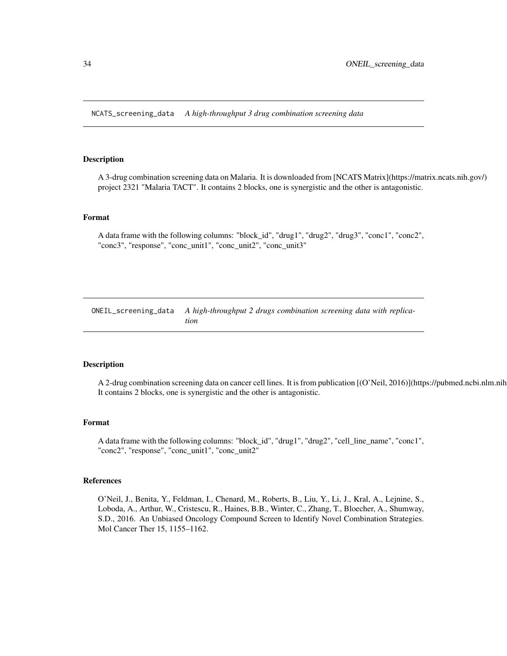<span id="page-33-0"></span>NCATS\_screening\_data *A high-throughput 3 drug combination screening data*

#### Description

A 3-drug combination screening data on Malaria. It is downloaded from [NCATS Matrix](https://matrix.ncats.nih.gov/) project 2321 "Malaria TACT". It contains 2 blocks, one is synergistic and the other is antagonistic.

#### Format

A data frame with the following columns: "block\_id", "drug1", "drug2", "drug3", "conc1", "conc2", "conc3", "response", "conc\_unit1", "conc\_unit2", "conc\_unit3"

ONEIL\_screening\_data *A high-throughput 2 drugs combination screening data with replication*

#### Description

A 2-drug combination screening data on cancer cell lines. It is from publication  $[(O'Nei], 2016)]$ (https://pubmed.ncbi.nlm.nih It contains 2 blocks, one is synergistic and the other is antagonistic.

#### Format

A data frame with the following columns: "block\_id", "drug1", "drug2", "cell\_line\_name", "conc1", "conc2", "response", "conc\_unit1", "conc\_unit2"

#### References

O'Neil, J., Benita, Y., Feldman, I., Chenard, M., Roberts, B., Liu, Y., Li, J., Kral, A., Lejnine, S., Loboda, A., Arthur, W., Cristescu, R., Haines, B.B., Winter, C., Zhang, T., Bloecher, A., Shumway, S.D., 2016. An Unbiased Oncology Compound Screen to Identify Novel Combination Strategies. Mol Cancer Ther 15, 1155–1162.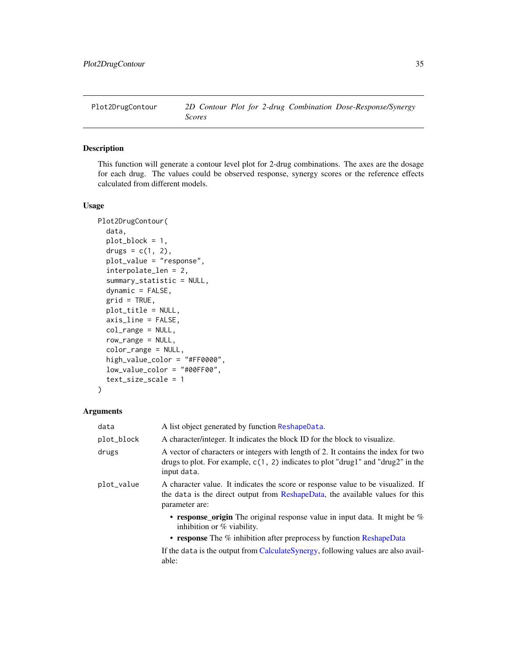<span id="page-34-0"></span>

This function will generate a contour level plot for 2-drug combinations. The axes are the dosage for each drug. The values could be observed response, synergy scores or the reference effects calculated from different models.

#### Usage

```
Plot2DrugContour(
  data,
  plot_block = 1,
  drugs = c(1, 2),
  plot_value = "response",
  interpolate_len = 2,
  summary_statistic = NULL,
  dynamic = FALSE,grid = TRUE,
 plot_title = NULL,
  axis_line = FALSE,
  col_range = NULL,
  row_range = NULL,
  color_range = NULL,
  high_value_color = "#FF0000",
  low_value_color = "#00FF00",
  text_size_scale = 1
)
```
# Arguments

| data       | A list object generated by function ReshapeData.                                                                                                                                        |
|------------|-----------------------------------------------------------------------------------------------------------------------------------------------------------------------------------------|
| plot_block | A character/integer. It indicates the block ID for the block to visualize.                                                                                                              |
| drugs      | A vector of characters or integers with length of 2. It contains the index for two<br>drugs to plot. For example, $c(1, 2)$ indicates to plot "drug1" and "drug2" in the<br>input data. |
| plot_value | A character value. It indicates the score or response value to be visualized. If<br>the data is the direct output from ReshapeData, the available values for this<br>parameter are:     |
|            | • response_origin The original response value in input data. It might be $%$<br>inhibition or $%$ viability.<br>• response The % inhibition after preprocess by function ReshapeData    |
|            | If the data is the output from CalculateSynergy, following values are also avail-<br>able:                                                                                              |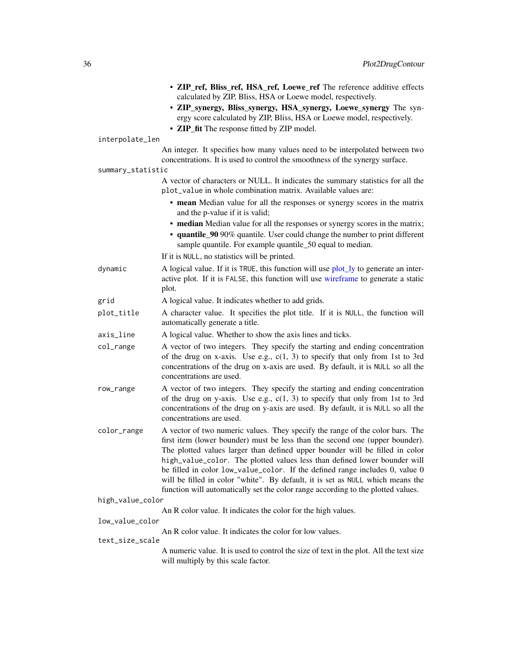<span id="page-35-0"></span>

|                   | · ZIP_ref, Bliss_ref, HSA_ref, Loewe_ref The reference additive effects<br>calculated by ZIP, Bliss, HSA or Loewe model, respectively.<br>· ZIP_synergy, Bliss_synergy, HSA_synergy, Loewe_synergy The syn-<br>ergy score calculated by ZIP, Bliss, HSA or Loewe model, respectively.<br>• ZIP_fit The response fitted by ZIP model.                                                                                                                                                                                                                                             |
|-------------------|----------------------------------------------------------------------------------------------------------------------------------------------------------------------------------------------------------------------------------------------------------------------------------------------------------------------------------------------------------------------------------------------------------------------------------------------------------------------------------------------------------------------------------------------------------------------------------|
| interpolate_len   |                                                                                                                                                                                                                                                                                                                                                                                                                                                                                                                                                                                  |
|                   | An integer. It specifies how many values need to be interpolated between two<br>concentrations. It is used to control the smoothness of the synergy surface.                                                                                                                                                                                                                                                                                                                                                                                                                     |
| summary_statistic |                                                                                                                                                                                                                                                                                                                                                                                                                                                                                                                                                                                  |
|                   | A vector of characters or NULL. It indicates the summary statistics for all the<br>plot_value in whole combination matrix. Available values are:                                                                                                                                                                                                                                                                                                                                                                                                                                 |
|                   | • mean Median value for all the responses or synergy scores in the matrix<br>and the p-value if it is valid;                                                                                                                                                                                                                                                                                                                                                                                                                                                                     |
|                   | • median Median value for all the responses or synergy scores in the matrix;<br>• quantile_90 90% quantile. User could change the number to print different<br>sample quantile. For example quantile_50 equal to median.                                                                                                                                                                                                                                                                                                                                                         |
|                   | If it is NULL, no statistics will be printed.                                                                                                                                                                                                                                                                                                                                                                                                                                                                                                                                    |
| dynamic           | A logical value. If it is TRUE, this function will use plot_ly to generate an inter-<br>active plot. If it is FALSE, this function will use wireframe to generate a static<br>plot.                                                                                                                                                                                                                                                                                                                                                                                              |
| grid              | A logical value. It indicates whether to add grids.                                                                                                                                                                                                                                                                                                                                                                                                                                                                                                                              |
| plot_title        | A character value. It specifies the plot title. If it is NULL, the function will<br>automatically generate a title.                                                                                                                                                                                                                                                                                                                                                                                                                                                              |
| axis_line         | A logical value. Whether to show the axis lines and ticks.                                                                                                                                                                                                                                                                                                                                                                                                                                                                                                                       |
| col_range         | A vector of two integers. They specify the starting and ending concentration<br>of the drug on x-axis. Use e.g., $c(1, 3)$ to specify that only from 1st to 3rd<br>concentrations of the drug on x-axis are used. By default, it is NULL so all the<br>concentrations are used.                                                                                                                                                                                                                                                                                                  |
| row_range         | A vector of two integers. They specify the starting and ending concentration<br>of the drug on y-axis. Use e.g., $c(1, 3)$ to specify that only from 1st to 3rd<br>concentrations of the drug on y-axis are used. By default, it is NULL so all the<br>concentrations are used.                                                                                                                                                                                                                                                                                                  |
| color_range       | A vector of two numeric values. They specify the range of the color bars. The<br>first item (lower bounder) must be less than the second one (upper bounder).<br>The plotted values larger than defined upper bounder will be filled in color<br>high_value_color. The plotted values less than defined lower bounder will<br>be filled in color low_value_color. If the defined range includes 0, value 0<br>will be filled in color "white". By default, it is set as NULL which means the<br>function will automatically set the color range according to the plotted values. |
| high_value_color  |                                                                                                                                                                                                                                                                                                                                                                                                                                                                                                                                                                                  |
|                   | An R color value. It indicates the color for the high values.                                                                                                                                                                                                                                                                                                                                                                                                                                                                                                                    |
| low_value_color   | An R color value. It indicates the color for low values.                                                                                                                                                                                                                                                                                                                                                                                                                                                                                                                         |
| text_size_scale   |                                                                                                                                                                                                                                                                                                                                                                                                                                                                                                                                                                                  |
|                   | A numeric value. It is used to control the size of text in the plot. All the text size<br>will multiply by this scale factor.                                                                                                                                                                                                                                                                                                                                                                                                                                                    |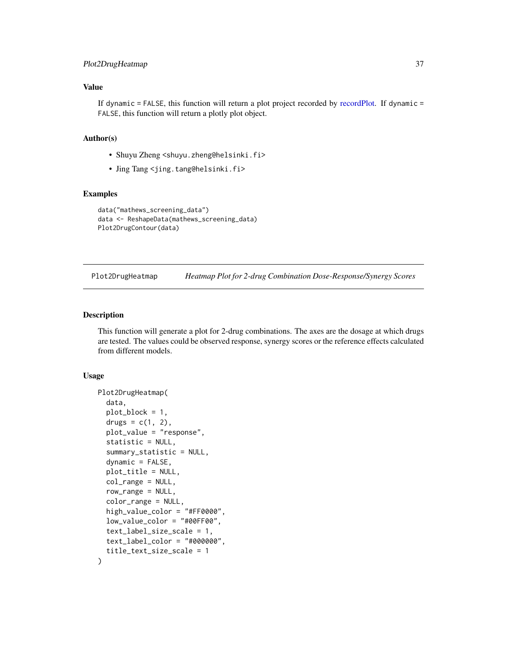# <span id="page-36-0"></span>Plot2DrugHeatmap 37

### Value

If dynamic  $=$  FALSE, this function will return a plot project recorded by [recordPlot.](#page-0-0) If dynamic  $=$ FALSE, this function will return a plotly plot object.

# Author(s)

- Shuyu Zheng <shuyu.zheng@helsinki.fi>
- Jing Tang <jing.tang@helsinki.fi>

#### Examples

```
data("mathews_screening_data")
data <- ReshapeData(mathews_screening_data)
Plot2DrugContour(data)
```
Plot2DrugHeatmap *Heatmap Plot for 2-drug Combination Dose-Response/Synergy Scores*

#### Description

This function will generate a plot for 2-drug combinations. The axes are the dosage at which drugs are tested. The values could be observed response, synergy scores or the reference effects calculated from different models.

#### Usage

```
Plot2DrugHeatmap(
  data,
  plot_block = 1,
  drugs = c(1, 2),
  plot_value = "response",
  statistic = NULL,
  summary_statistic = NULL,
  dynamic = FALSE,plot_title = NULL,
  col_range = NULL,
  row_range = NULL,
  color_range = NULL,
  high_value_color = "#FF0000",
  low_value_color = "#00FF00",
  text_label_size_scale = 1,
  text_label_color = "#000000",
  title_text_size_scale = 1
)
```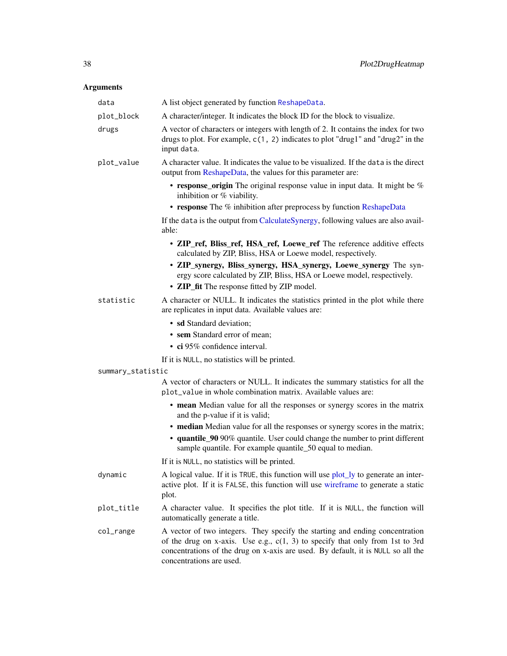# <span id="page-37-0"></span>Arguments

| data              | A list object generated by function ReshapeData.                                                                                                                                                                                                                                |
|-------------------|---------------------------------------------------------------------------------------------------------------------------------------------------------------------------------------------------------------------------------------------------------------------------------|
| plot_block        | A character/integer. It indicates the block ID for the block to visualize.                                                                                                                                                                                                      |
| drugs             | A vector of characters or integers with length of 2. It contains the index for two<br>drugs to plot. For example, c(1, 2) indicates to plot "drug1" and "drug2" in the<br>input data.                                                                                           |
| plot_value        | A character value. It indicates the value to be visualized. If the data is the direct<br>output from ReshapeData, the values for this parameter are:                                                                                                                            |
|                   | • response_origin The original response value in input data. It might be %<br>inhibition or % viability.                                                                                                                                                                        |
|                   | • response The % inhibition after preprocess by function ReshapeData                                                                                                                                                                                                            |
|                   | If the data is the output from CalculateSynergy, following values are also avail-<br>able:                                                                                                                                                                                      |
|                   | • ZIP_ref, Bliss_ref, HSA_ref, Loewe_ref The reference additive effects<br>calculated by ZIP, Bliss, HSA or Loewe model, respectively.                                                                                                                                          |
|                   | • ZIP_synergy, Bliss_synergy, HSA_synergy, Loewe_synergy The syn-<br>ergy score calculated by ZIP, Bliss, HSA or Loewe model, respectively.                                                                                                                                     |
|                   | • ZIP_fit The response fitted by ZIP model.                                                                                                                                                                                                                                     |
| statistic         | A character or NULL. It indicates the statistics printed in the plot while there<br>are replicates in input data. Available values are:                                                                                                                                         |
|                   | • sd Standard deviation;                                                                                                                                                                                                                                                        |
|                   | • sem Standard error of mean;<br>• ci 95% confidence interval.                                                                                                                                                                                                                  |
|                   | If it is NULL, no statistics will be printed.                                                                                                                                                                                                                                   |
| summary_statistic |                                                                                                                                                                                                                                                                                 |
|                   | A vector of characters or NULL. It indicates the summary statistics for all the<br>plot_value in whole combination matrix. Available values are:                                                                                                                                |
|                   | • mean Median value for all the responses or synergy scores in the matrix<br>and the p-value if it is valid;                                                                                                                                                                    |
|                   | • median Median value for all the responses or synergy scores in the matrix;                                                                                                                                                                                                    |
|                   | • quantile_90 90% quantile. User could change the number to print different<br>sample quantile. For example quantile_50 equal to median.                                                                                                                                        |
|                   | If it is NULL, no statistics will be printed.                                                                                                                                                                                                                                   |
| dynamic           | A logical value. If it is TRUE, this function will use plot_ly to generate an inter-<br>active plot. If it is FALSE, this function will use wireframe to generate a static<br>plot.                                                                                             |
| plot_title        | A character value. It specifies the plot title. If it is NULL, the function will<br>automatically generate a title.                                                                                                                                                             |
| col_range         | A vector of two integers. They specify the starting and ending concentration<br>of the drug on x-axis. Use e.g., $c(1, 3)$ to specify that only from 1st to 3rd<br>concentrations of the drug on x-axis are used. By default, it is NULL so all the<br>concentrations are used. |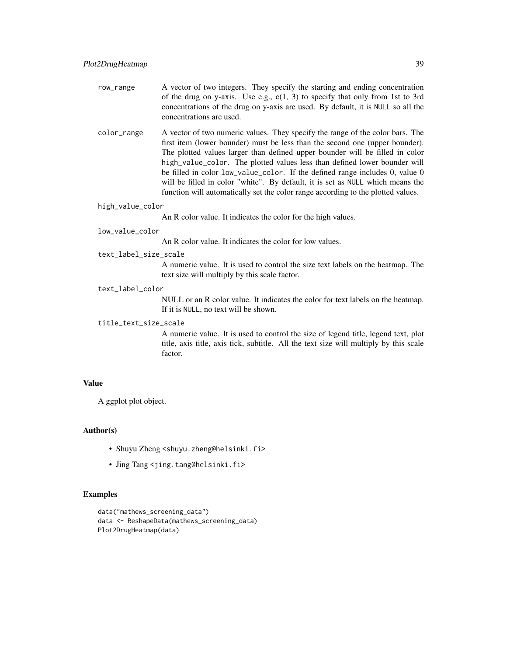- row\_range A vector of two integers. They specify the starting and ending concentration of the drug on y-axis. Use e.g.,  $c(1, 3)$  to specify that only from 1st to 3rd concentrations of the drug on y-axis are used. By default, it is NULL so all the concentrations are used.
- color\_range A vector of two numeric values. They specify the range of the color bars. The first item (lower bounder) must be less than the second one (upper bounder). The plotted values larger than defined upper bounder will be filled in color high\_value\_color. The plotted values less than defined lower bounder will be filled in color low\_value\_color. If the defined range includes 0, value 0 will be filled in color "white". By default, it is set as NULL which means the function will automatically set the color range according to the plotted values.

#### high\_value\_color

An R color value. It indicates the color for the high values.

#### low\_value\_color

An R color value. It indicates the color for low values.

#### text\_label\_size\_scale

A numeric value. It is used to control the size text labels on the heatmap. The text size will multiply by this scale factor.

#### text\_label\_color

NULL or an R color value. It indicates the color for text labels on the heatmap. If it is NULL, no text will be shown.

#### title\_text\_size\_scale

A numeric value. It is used to control the size of legend title, legend text, plot title, axis title, axis tick, subtitle. All the text size will multiply by this scale factor.

# Value

A ggplot plot object.

#### Author(s)

- Shuyu Zheng <shuyu.zheng@helsinki.fi>
- Jing Tang <jing.tang@helsinki.fi>

#### Examples

```
data("mathews_screening_data")
data <- ReshapeData(mathews_screening_data)
Plot2DrugHeatmap(data)
```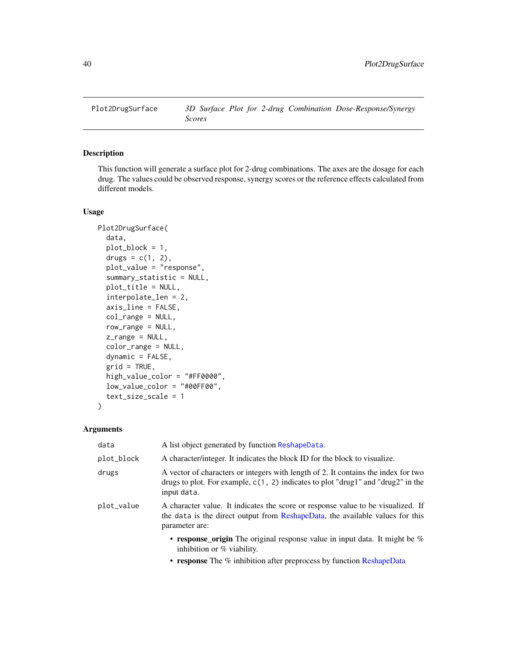<span id="page-39-0"></span>

This function will generate a surface plot for 2-drug combinations. The axes are the dosage for each drug. The values could be observed response, synergy scores or the reference effects calculated from different models.

#### Usage

```
Plot2DrugSurface(
  data,
  plot_block = 1,
  drugs = c(1, 2),
  plot_value = "response",
  summary_statistic = NULL,
  plot_title = NULL,
  interpolate_len = 2,
  axis_line = FALSE,
  col_range = NULL,
  row_range = NULL,
  z_range = NULL,
  color_range = NULL,
  dynamic = FALSE,
  grid = TRUE,high_value_color = "#FF0000",
  low_value_color = "#00FF00",
  text_size_scale = 1
\mathcal{E}
```
# Arguments

| data       | A list object generated by function ReshapeData.                                                                                                                                                                                                                                   |
|------------|------------------------------------------------------------------------------------------------------------------------------------------------------------------------------------------------------------------------------------------------------------------------------------|
| plot_block | A character/integer. It indicates the block ID for the block to visualize.                                                                                                                                                                                                         |
| drugs      | A vector of characters or integers with length of 2. It contains the index for two<br>drugs to plot. For example, $c(1, 2)$ indicates to plot "drug1" and "drug2" in the<br>input data.                                                                                            |
| plot_value | A character value. It indicates the score or response value to be visualized. If<br>the data is the direct output from ReshapeData, the available values for this<br>parameter are:                                                                                                |
|            | • response origin The original response value in input data. It might be $\%$<br>inhibition or $%$ viability.                                                                                                                                                                      |
|            | $\mathbb{R}^n$ and $\mathbb{R}^n$ in the $\mathbb{R}^n$ in the $\mathbb{R}^n$ in the $\mathbb{R}^n$ in the $\mathbb{R}^n$ in the $\mathbb{R}^n$ in the $\mathbb{R}^n$ in the $\mathbb{R}^n$ in the $\mathbb{R}^n$ in the $\mathbb{R}^n$ in the $\mathbb{R}^n$ in the $\mathbb{R}^$ |

• response The % inhibition after preprocess by function [ReshapeData](#page-59-1)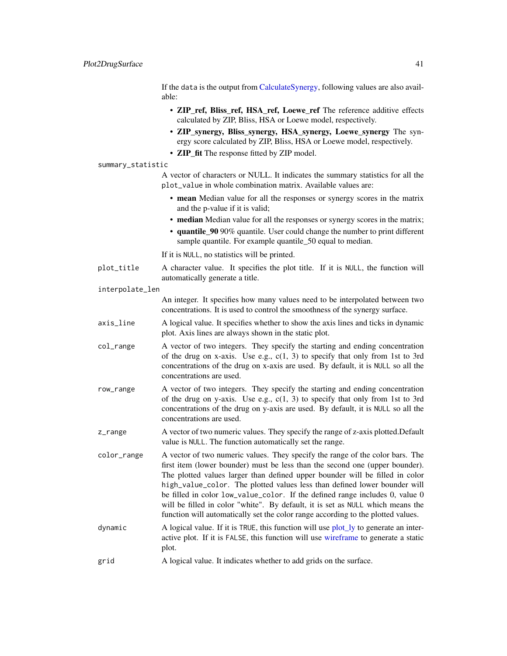<span id="page-40-0"></span>If the data is the output from [CalculateSynergy,](#page-20-1) following values are also available:

- ZIP\_ref, Bliss\_ref, HSA\_ref, Loewe\_ref The reference additive effects calculated by ZIP, Bliss, HSA or Loewe model, respectively.
- ZIP\_synergy, Bliss\_synergy, HSA\_synergy, Loewe\_synergy The synergy score calculated by ZIP, Bliss, HSA or Loewe model, respectively.
- **ZIP** fit The response fitted by **ZIP** model.

#### summary\_statistic

A vector of characters or NULL. It indicates the summary statistics for all the plot\_value in whole combination matrix. Available values are:

- mean Median value for all the responses or synergy scores in the matrix and the p-value if it is valid;
- median Median value for all the responses or synergy scores in the matrix;
- quantile 90 90% quantile. User could change the number to print different sample quantile. For example quantile\_50 equal to median.

If it is NULL, no statistics will be printed.

- plot\_title A character value. It specifies the plot title. If it is NULL, the function will automatically generate a title.
- interpolate\_len

An integer. It specifies how many values need to be interpolated between two concentrations. It is used to control the smoothness of the synergy surface.

- axis\_line A logical value. It specifies whether to show the axis lines and ticks in dynamic plot. Axis lines are always shown in the static plot.
- col\_range A vector of two integers. They specify the starting and ending concentration of the drug on x-axis. Use e.g.,  $c(1, 3)$  to specify that only from 1st to 3rd concentrations of the drug on x-axis are used. By default, it is NULL so all the concentrations are used.
- row\_range A vector of two integers. They specify the starting and ending concentration of the drug on y-axis. Use e.g.,  $c(1, 3)$  to specify that only from 1st to 3rd concentrations of the drug on y-axis are used. By default, it is NULL so all the concentrations are used.
- z\_range A vector of two numeric values. They specify the range of z-axis plotted. Default value is NULL. The function automatically set the range.
- color\_range A vector of two numeric values. They specify the range of the color bars. The first item (lower bounder) must be less than the second one (upper bounder). The plotted values larger than defined upper bounder will be filled in color high\_value\_color. The plotted values less than defined lower bounder will be filled in color low\_value\_color. If the defined range includes 0, value 0 will be filled in color "white". By default, it is set as NULL which means the function will automatically set the color range according to the plotted values.
- dynamic A logical value. If it is TRUE, this function will use [plot\\_ly](#page-0-0) to generate an interactive plot. If it is FALSE, this function will use [wireframe](#page-0-0) to generate a static plot.
- grid A logical value. It indicates whether to add grids on the surface.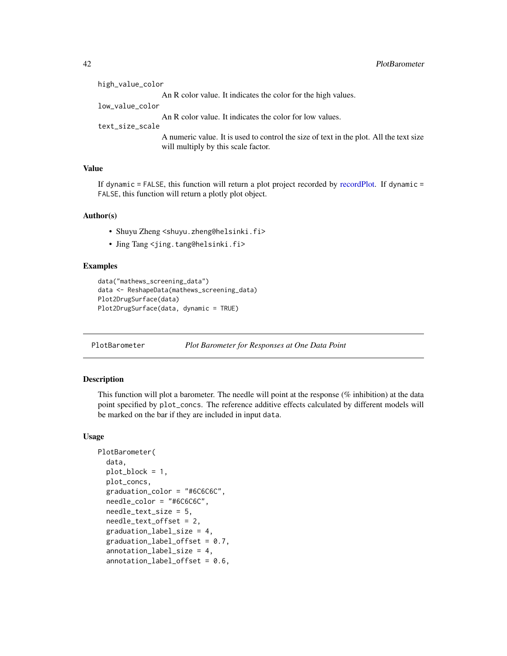<span id="page-41-0"></span>

| high_value_color |                                                                                                                               |
|------------------|-------------------------------------------------------------------------------------------------------------------------------|
|                  | An R color value. It indicates the color for the high values.                                                                 |
| low_value_color  |                                                                                                                               |
|                  | An R color value. It indicates the color for low values.                                                                      |
| text_size_scale  |                                                                                                                               |
|                  | A numeric value. It is used to control the size of text in the plot. All the text size<br>will multiply by this scale factor. |

# Value

If dynamic = FALSE, this function will return a plot project recorded by [recordPlot.](#page-0-0) If dynamic = FALSE, this function will return a plotly plot object.

#### Author(s)

- Shuyu Zheng <shuyu.zheng@helsinki.fi>
- Jing Tang <jing.tang@helsinki.fi>

#### Examples

```
data("mathews_screening_data")
data <- ReshapeData(mathews_screening_data)
Plot2DrugSurface(data)
Plot2DrugSurface(data, dynamic = TRUE)
```
PlotBarometer *Plot Barometer for Responses at One Data Point*

# Description

This function will plot a barometer. The needle will point at the response (% inhibition) at the data point specified by plot\_concs. The reference additive effects calculated by different models will be marked on the bar if they are included in input data.

# Usage

```
PlotBarometer(
  data,
  plot_block = 1,
 plot_concs,
  graduation_color = "#6C6C6C",
  needle_color = "#6C6C6C",
  needle_text_size = 5,
  needle_text_offset = 2,
  graduation_label_size = 4,
  graduation_label_offset = 0.7,
  annotation_label_size = 4,
  annotation_label_offset = 0.6,
```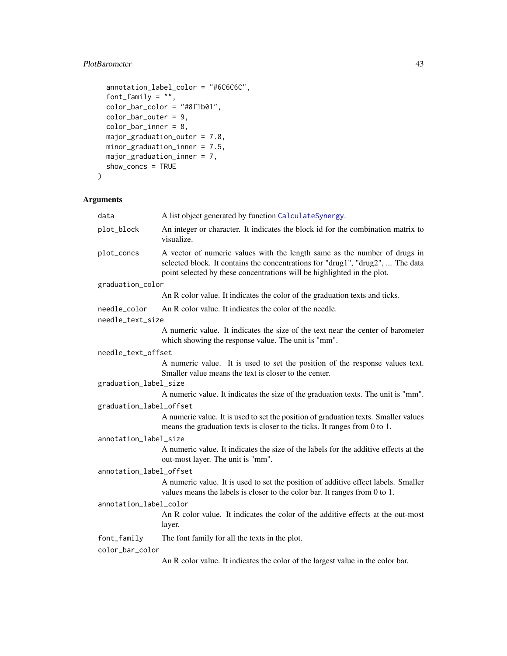# <span id="page-42-0"></span>PlotBarometer 43

```
annotation_label_color = "#6C6C6C",
font_family = ",
color_b = "#8f1b01",color_bar_outer = 9,
color\_bar\_inner = 8,
major_graduation_outer = 7.8,
minor_graduation_inner = 7.5,
major_graduation_inner = 7,
show_concs = TRUE
```

```
\mathcal{L}
```
# Arguments

| data                    | A list object generated by function CalculateSynergy.                                                                                                                                                                                  |  |
|-------------------------|----------------------------------------------------------------------------------------------------------------------------------------------------------------------------------------------------------------------------------------|--|
| plot_block              | An integer or character. It indicates the block id for the combination matrix to<br>visualize.                                                                                                                                         |  |
| plot_concs              | A vector of numeric values with the length same as the number of drugs in<br>selected block. It contains the concentrations for "drug1", "drug2",  The data<br>point selected by these concentrations will be highlighted in the plot. |  |
| graduation_color        |                                                                                                                                                                                                                                        |  |
|                         | An R color value. It indicates the color of the graduation texts and ticks.                                                                                                                                                            |  |
| needle_color            | An R color value. It indicates the color of the needle.                                                                                                                                                                                |  |
| needle_text_size        |                                                                                                                                                                                                                                        |  |
|                         | A numeric value. It indicates the size of the text near the center of barometer<br>which showing the response value. The unit is "mm".                                                                                                 |  |
| needle_text_offset      |                                                                                                                                                                                                                                        |  |
|                         | A numeric value. It is used to set the position of the response values text.<br>Smaller value means the text is closer to the center.                                                                                                  |  |
| graduation_label_size   |                                                                                                                                                                                                                                        |  |
|                         | A numeric value. It indicates the size of the graduation texts. The unit is "mm".                                                                                                                                                      |  |
| graduation_label_offset |                                                                                                                                                                                                                                        |  |
|                         | A numeric value. It is used to set the position of graduation texts. Smaller values<br>means the graduation texts is closer to the ticks. It ranges from 0 to 1.                                                                       |  |
| annotation_label_size   |                                                                                                                                                                                                                                        |  |
|                         | A numeric value. It indicates the size of the labels for the additive effects at the<br>out-most layer. The unit is "mm".                                                                                                              |  |
| annotation_label_offset |                                                                                                                                                                                                                                        |  |
|                         | A numeric value. It is used to set the position of additive effect labels. Smaller<br>values means the labels is closer to the color bar. It ranges from 0 to 1.                                                                       |  |
| annotation_label_color  |                                                                                                                                                                                                                                        |  |
|                         | An R color value. It indicates the color of the additive effects at the out-most<br>layer.                                                                                                                                             |  |
| font_family             | The font family for all the texts in the plot.                                                                                                                                                                                         |  |
| color_bar_color         |                                                                                                                                                                                                                                        |  |
|                         | An R color value. It indicates the color of the largest value in the color bar.                                                                                                                                                        |  |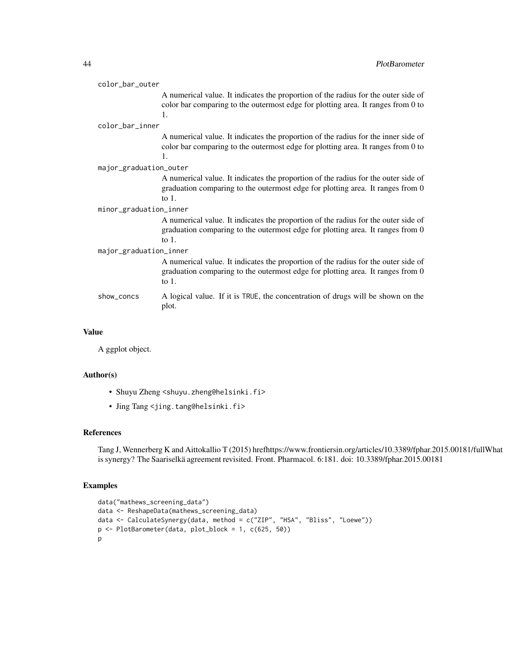| color_bar_outer        |                                                                                                                                                                                  |  |
|------------------------|----------------------------------------------------------------------------------------------------------------------------------------------------------------------------------|--|
|                        | A numerical value. It indicates the proportion of the radius for the outer side of<br>color bar comparing to the outermost edge for plotting area. It ranges from 0 to<br>1.     |  |
| color_bar_inner        |                                                                                                                                                                                  |  |
|                        | A numerical value. It indicates the proportion of the radius for the inner side of<br>color bar comparing to the outermost edge for plotting area. It ranges from 0 to<br>1.     |  |
| major_graduation_outer |                                                                                                                                                                                  |  |
|                        | A numerical value. It indicates the proportion of the radius for the outer side of<br>graduation comparing to the outermost edge for plotting area. It ranges from 0<br>to $1$ . |  |
| minor_graduation_inner |                                                                                                                                                                                  |  |
|                        | A numerical value. It indicates the proportion of the radius for the outer side of<br>graduation comparing to the outermost edge for plotting area. It ranges from 0<br>to $1$ . |  |
| major_graduation_inner |                                                                                                                                                                                  |  |
|                        | A numerical value. It indicates the proportion of the radius for the outer side of<br>graduation comparing to the outermost edge for plotting area. It ranges from 0<br>to $1$ . |  |
| show_concs             | A logical value. If it is TRUE, the concentration of drugs will be shown on the<br>plot.                                                                                         |  |
|                        |                                                                                                                                                                                  |  |

#### Value

A ggplot object.

# Author(s)

- Shuyu Zheng <shuyu.zheng@helsinki.fi>
- Jing Tang <jing.tang@helsinki.fi>

#### References

Tang J, Wennerberg K and Aittokallio T (2015) hrefhttps://www.frontiersin.org/articles/10.3389/fphar.2015.00181/fullWhat is synergy? The Saariselkä agreement revisited. Front. Pharmacol. 6:181. doi: 10.3389/fphar.2015.00181

#### Examples

```
data("mathews_screening_data")
data <- ReshapeData(mathews_screening_data)
data <- CalculateSynergy(data, method = c("ZIP", "HSA", "Bliss", "Loewe"))
p <- PlotBarometer(data, plot_block = 1, c(625, 50))
p
```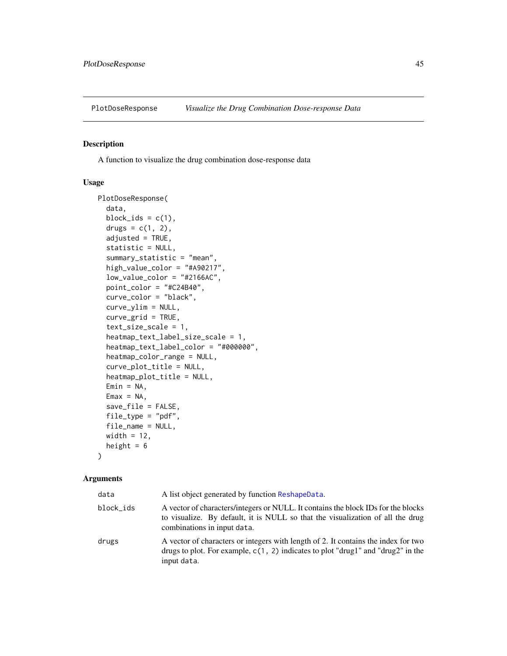<span id="page-44-0"></span>

A function to visualize the drug combination dose-response data

# Usage

```
PlotDoseResponse(
  data,
  block_ids = c(1),
  drugs = c(1, 2),
  adjusted = TRUE,
  statistic = NULL,
  summary_statistic = "mean",
  high_value_color = "#A90217",
  low_value_color = "#2166AC",
  point_color = "#C24B40",
  curve_color = "black",
  curve_ylim = NULL,
  curve_grid = TRUE,
  text_size_scale = 1,
  heatmap_text_label_size_scale = 1,
  heatmap_text_label_color = "#000000",
  heatmap_color_range = NULL,
  curve_plot_title = NULL,
  heatmap_plot_title = NULL,
  Emin = NA,
  Emax = NA,
  save_file = FALSE,
  file_type = "pdf",
  file_name = NULL,
  width = 12,
  height = 6)
```
# Arguments

| data      | A list object generated by function ReshapeData.                                                                                                                                                   |
|-----------|----------------------------------------------------------------------------------------------------------------------------------------------------------------------------------------------------|
| block_ids | A vector of characters/integers or NULL. It contains the block IDs for the blocks<br>to visualize. By default, it is NULL so that the visualization of all the drug<br>combinations in input data. |
| drugs     | A vector of characters or integers with length of 2. It contains the index for two<br>drugs to plot. For example, $c(1, 2)$ indicates to plot "drug1" and "drug2" in the<br>input data.            |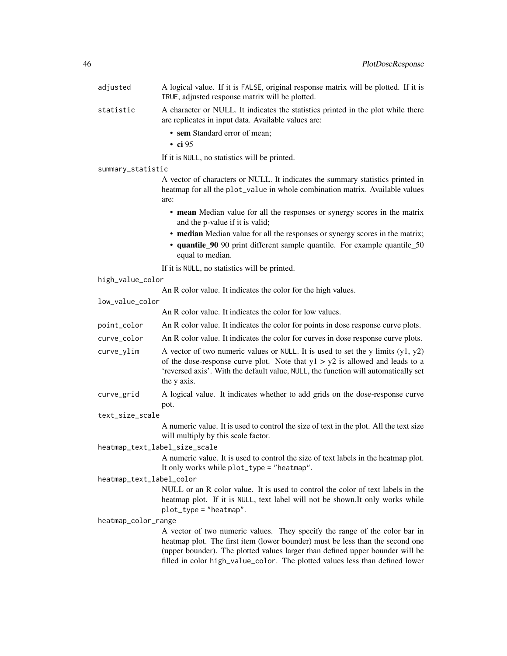adjusted A logical value. If it is FALSE, original response matrix will be plotted. If it is TRUE, adjusted response matrix will be plotted.

statistic A character or NULL. It indicates the statistics printed in the plot while there are replicates in input data. Available values are:

- sem Standard error of mean;
- ci 95

If it is NULL, no statistics will be printed.

summary\_statistic

A vector of characters or NULL. It indicates the summary statistics printed in heatmap for all the plot\_value in whole combination matrix. Available values are:

- mean Median value for all the responses or synergy scores in the matrix and the p-value if it is valid;
- median Median value for all the responses or synergy scores in the matrix;
- quantile\_90 90 print different sample quantile. For example quantile\_50 equal to median.

If it is NULL, no statistics will be printed.

#### high\_value\_color

An R color value. It indicates the color for the high values.

low\_value\_color

An R color value. It indicates the color for low values.

- point\_color An R color value. It indicates the color for points in dose response curve plots.
- curve\_color An R color value. It indicates the color for curves in dose response curve plots.
- curve\_ylim A vector of two numeric values or NULL. It is used to set the y limits  $(y1, y2)$ of the dose-response curve plot. Note that  $y1 > y2$  is allowed and leads to a 'reversed axis'. With the default value, NULL, the function will automatically set the y axis.
- curve\_grid A logical value. It indicates whether to add grids on the dose-response curve pot.
- text\_size\_scale

A numeric value. It is used to control the size of text in the plot. All the text size will multiply by this scale factor.

heatmap\_text\_label\_size\_scale

A numeric value. It is used to control the size of text labels in the heatmap plot. It only works while plot\_type = "heatmap".

heatmap\_text\_label\_color

NULL or an R color value. It is used to control the color of text labels in the heatmap plot. If it is NULL, text label will not be shown.It only works while plot\_type = "heatmap".

heatmap\_color\_range

A vector of two numeric values. They specify the range of the color bar in heatmap plot. The first item (lower bounder) must be less than the second one (upper bounder). The plotted values larger than defined upper bounder will be filled in color high\_value\_color. The plotted values less than defined lower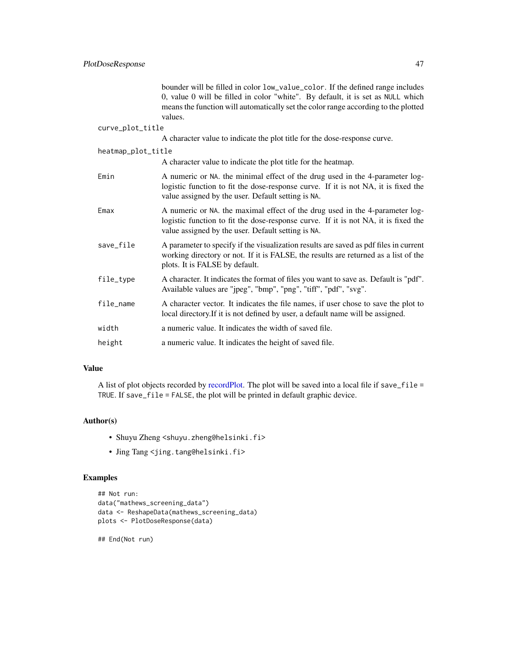<span id="page-46-0"></span>

|                    | bounder will be filled in color low_value_color. If the defined range includes<br>0, value 0 will be filled in color "white". By default, it is set as NULL which<br>means the function will automatically set the color range according to the plotted<br>values. |
|--------------------|--------------------------------------------------------------------------------------------------------------------------------------------------------------------------------------------------------------------------------------------------------------------|
| curve_plot_title   |                                                                                                                                                                                                                                                                    |
|                    | A character value to indicate the plot title for the dose-response curve.                                                                                                                                                                                          |
| heatmap_plot_title |                                                                                                                                                                                                                                                                    |
|                    | A character value to indicate the plot title for the heatmap.                                                                                                                                                                                                      |
| Emin               | A numeric or NA. the minimal effect of the drug used in the 4-parameter log-<br>logistic function to fit the dose-response curve. If it is not NA, it is fixed the<br>value assigned by the user. Default setting is NA.                                           |
| Emax               | A numeric or NA. the maximal effect of the drug used in the 4-parameter log-<br>logistic function to fit the dose-response curve. If it is not NA, it is fixed the<br>value assigned by the user. Default setting is NA.                                           |
| save_file          | A parameter to specify if the visualization results are saved as pdf files in current<br>working directory or not. If it is FALSE, the results are returned as a list of the<br>plots. It is FALSE by default.                                                     |
| file_type          | A character. It indicates the format of files you want to save as. Default is "pdf".<br>Available values are "jpeg", "bmp", "png", "tiff", "pdf", "svg".                                                                                                           |
| file_name          | A character vector. It indicates the file names, if user chose to save the plot to<br>local directory. If it is not defined by user, a default name will be assigned.                                                                                              |
| width              | a numeric value. It indicates the width of saved file.                                                                                                                                                                                                             |
| height             | a numeric value. It indicates the height of saved file.                                                                                                                                                                                                            |

#### Value

A list of plot objects recorded by [recordPlot.](#page-0-0) The plot will be saved into a local file if save\_file = TRUE. If save\_file = FALSE, the plot will be printed in default graphic device.

#### Author(s)

- Shuyu Zheng <shuyu.zheng@helsinki.fi>
- Jing Tang <jing.tang@helsinki.fi>

# Examples

```
## Not run:
data("mathews_screening_data")
data <- ReshapeData(mathews_screening_data)
plots <- PlotDoseResponse(data)
```
## End(Not run)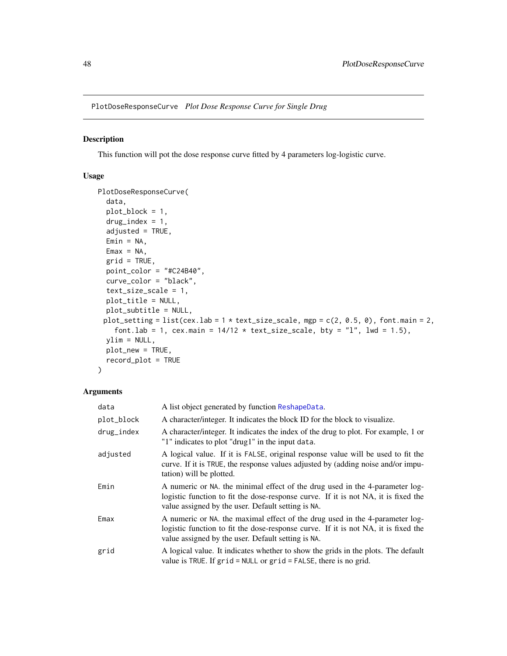<span id="page-47-0"></span>PlotDoseResponseCurve *Plot Dose Response Curve for Single Drug*

#### Description

This function will pot the dose response curve fitted by 4 parameters log-logistic curve.

#### Usage

```
PlotDoseResponseCurve(
  data,
 plot_block = 1,
 drug\_index = 1,
  adjusted = TRUE,
 Emin = NA,
 Emax = NA,
 grid = TRUE,point_color = "#C24B40",
  curve_color = "black",
  text_size_scale = 1,
 plot_title = NULL,
 plot_subtitle = NULL,
 plot_setting = list(cex.lab = 1 * text_size_scale, mgp = c(2, 0.5, 0), font.main = 2,
    font.lab = 1, cex.main = 14/12 \times \text{text\_size\_scale}, bty = "l", lwd = 1.5),
 ylim = NULL,
 plot_new = TRUE,
  record_plot = TRUE
)
```
# Arguments

| data       | A list object generated by function ReshapeData.                                                                                                                                                                         |
|------------|--------------------------------------------------------------------------------------------------------------------------------------------------------------------------------------------------------------------------|
| plot_block | A character/integer. It indicates the block ID for the block to visualize.                                                                                                                                               |
| drug_index | A character/integer. It indicates the index of the drug to plot. For example, 1 or<br>"1" indicates to plot "drug1" in the input data.                                                                                   |
| adjusted   | A logical value. If it is FALSE, original response value will be used to fit the<br>curve. If it is TRUE, the response values adjusted by (adding noise and/or impu-<br>tation) will be plotted.                         |
| Emin       | A numeric or NA, the minimal effect of the drug used in the 4-parameter log-<br>logistic function to fit the dose-response curve. If it is not NA, it is fixed the<br>value assigned by the user. Default setting is NA. |
| Emax       | A numeric or NA, the maximal effect of the drug used in the 4-parameter log-<br>logistic function to fit the dose-response curve. If it is not NA, it is fixed the<br>value assigned by the user. Default setting is NA. |
| grid       | A logical value. It indicates whether to show the grids in the plots. The default<br>value is TRUE. If $grid = NULL$ or $grid = FALSE$ , there is no grid.                                                               |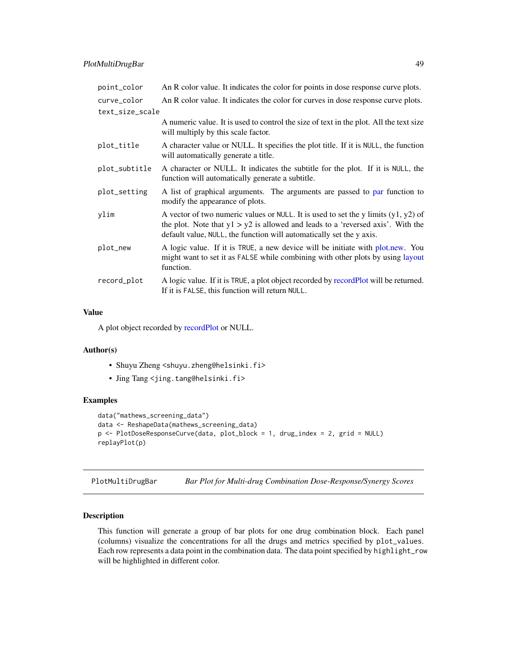<span id="page-48-0"></span>

| point_color     | An R color value. It indicates the color for points in dose response curve plots.                                                                                                                                                                 |
|-----------------|---------------------------------------------------------------------------------------------------------------------------------------------------------------------------------------------------------------------------------------------------|
| curve_color     | An R color value. It indicates the color for curves in dose response curve plots.                                                                                                                                                                 |
| text_size_scale |                                                                                                                                                                                                                                                   |
|                 | A numeric value. It is used to control the size of text in the plot. All the text size<br>will multiply by this scale factor.                                                                                                                     |
| plot_title      | A character value or NULL. It specifies the plot title. If it is NULL, the function<br>will automatically generate a title.                                                                                                                       |
| plot_subtitle   | A character or NULL. It indicates the subtitle for the plot. If it is NULL, the<br>function will automatically generate a subtitle.                                                                                                               |
| plot_setting    | A list of graphical arguments. The arguments are passed to par function to<br>modify the appearance of plots.                                                                                                                                     |
| ylim            | A vector of two numeric values or NULL. It is used to set the y limits $(y1, y2)$ of<br>the plot. Note that $y1 > y2$ is allowed and leads to a 'reversed axis'. With the<br>default value, NULL, the function will automatically set the y axis. |
| plot_new        | A logic value. If it is TRUE, a new device will be initiate with plot.new. You<br>might want to set it as FALSE while combining with other plots by using layout<br>function.                                                                     |
| record_plot     | A logic value. If it is TRUE, a plot object recorded by recordPlot will be returned.<br>If it is FALSE, this function will return NULL.                                                                                                           |

#### Value

A plot object recorded by [recordPlot](#page-0-0) or NULL.

#### Author(s)

- Shuyu Zheng <shuyu.zheng@helsinki.fi>
- Jing Tang <jing.tang@helsinki.fi>

# Examples

```
data("mathews_screening_data")
data <- ReshapeData(mathews_screening_data)
p <- PlotDoseResponseCurve(data, plot_block = 1, drug_index = 2, grid = NULL)
replayPlot(p)
```
<span id="page-48-1"></span>PlotMultiDrugBar *Bar Plot for Multi-drug Combination Dose-Response/Synergy Scores*

# Description

This function will generate a group of bar plots for one drug combination block. Each panel (columns) visualize the concentrations for all the drugs and metrics specified by plot\_values. Each row represents a data point in the combination data. The data point specified by highlight\_row will be highlighted in different color.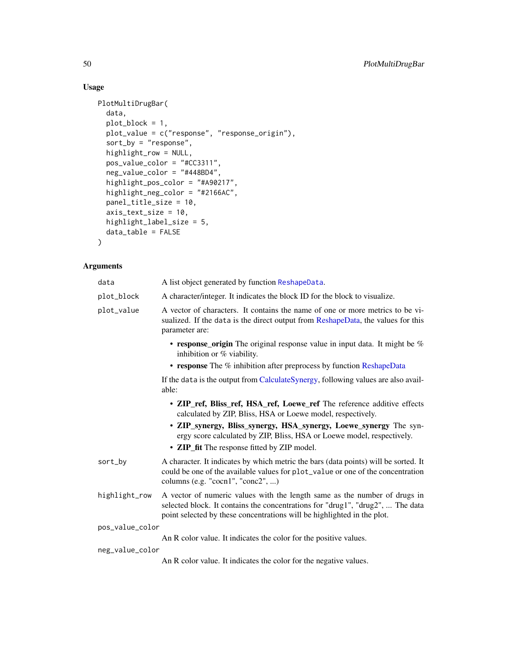# Usage

```
PlotMultiDrugBar(
  data,
 plot_block = 1,
 plot_value = c("response", "response_origin"),
  sort_by = "response",
 highlight_row = NULL,
 pos_value_color = "#CC3311",
 neg_value_color = "#448BD4",
 highlight_pos_color = "#A90217",
 highlight_neg_color = "#2166AC",
 panel_title_size = 10,
  axis_text_size = 10,
 highlight_label_size = 5,
 data_table = FALSE
\mathcal{L}
```
#### Arguments

| data            | A list object generated by function ReshapeData.                                                                                                                                                                                       |
|-----------------|----------------------------------------------------------------------------------------------------------------------------------------------------------------------------------------------------------------------------------------|
| plot_block      | A character/integer. It indicates the block ID for the block to visualize.                                                                                                                                                             |
| plot_value      | A vector of characters. It contains the name of one or more metrics to be vi-<br>sualized. If the data is the direct output from ReshapeData, the values for this<br>parameter are:                                                    |
|                 | • response origin The original response value in input data. It might be $%$<br>inhibition or % viability.                                                                                                                             |
|                 | • response The % inhibition after preprocess by function ReshapeData                                                                                                                                                                   |
|                 | If the data is the output from CalculateSynergy, following values are also avail-<br>able:                                                                                                                                             |
|                 | • ZIP_ref, Bliss_ref, HSA_ref, Loewe_ref The reference additive effects<br>calculated by ZIP, Bliss, HSA or Loewe model, respectively.                                                                                                 |
|                 | • ZIP_synergy, Bliss_synergy, HSA_synergy, Loewe_synergy The syn-<br>ergy score calculated by ZIP, Bliss, HSA or Loewe model, respectively.                                                                                            |
|                 | • ZIP_fit The response fitted by ZIP model.                                                                                                                                                                                            |
| sort_by         | A character. It indicates by which metric the bars (data points) will be sorted. It<br>could be one of the available values for plot_value or one of the concentration<br>columns (e.g. "cocn1", "conc2", )                            |
| highlight_row   | A vector of numeric values with the length same as the number of drugs in<br>selected block. It contains the concentrations for "drug1", "drug2",  The data<br>point selected by these concentrations will be highlighted in the plot. |
| pos_value_color |                                                                                                                                                                                                                                        |
|                 | An R color value. It indicates the color for the positive values.                                                                                                                                                                      |
| neg_value_color |                                                                                                                                                                                                                                        |
|                 | An R color value. It indicates the color for the negative values.                                                                                                                                                                      |

<span id="page-49-0"></span>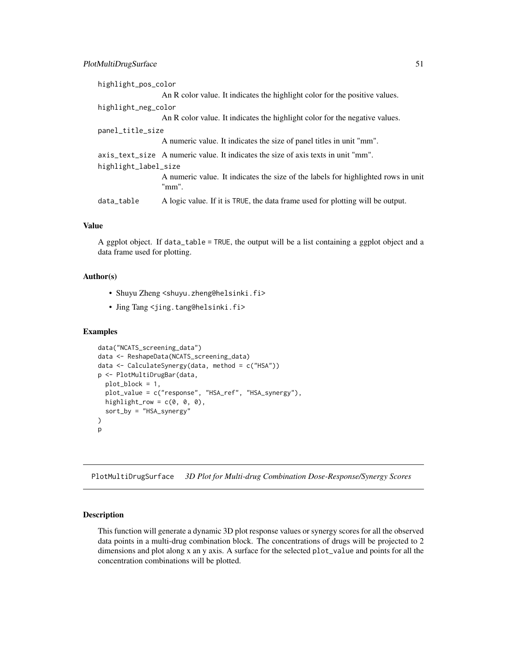# <span id="page-50-0"></span>PlotMultiDrugSurface 51

| highlight_pos_color  |                                                                                            |
|----------------------|--------------------------------------------------------------------------------------------|
|                      | An R color value. It indicates the highlight color for the positive values.                |
| highlight_neg_color  |                                                                                            |
|                      | An R color value. It indicates the highlight color for the negative values.                |
| panel_title_size     |                                                                                            |
|                      | A numeric value. It indicates the size of panel titles in unit "mm".                       |
| highlight_label_size | axis_text_size A numeric value. It indicates the size of axis texts in unit "mm".          |
|                      | A numeric value. It indicates the size of the labels for highlighted rows in unit<br>"mm". |
| data_table           | A logic value. If it is TRUE, the data frame used for plotting will be output.             |

# Value

A ggplot object. If data\_table = TRUE, the output will be a list containing a ggplot object and a data frame used for plotting.

#### Author(s)

- Shuyu Zheng <shuyu.zheng@helsinki.fi>
- Jing Tang <jing.tang@helsinki.fi>

#### Examples

```
data("NCATS_screening_data")
data <- ReshapeData(NCATS_screening_data)
data <- CalculateSynergy(data, method = c("HSA"))
p <- PlotMultiDrugBar(data,
  plot_block = 1,
  plot_value = c("response", "HSA_ref", "HSA_synergy"),
  highlight_row = c(0, 0, 0),
  sort_by = "HSA_synergy"
)
p
```
<span id="page-50-1"></span>PlotMultiDrugSurface *3D Plot for Multi-drug Combination Dose-Response/Synergy Scores*

# Description

This function will generate a dynamic 3D plot response values or synergy scores for all the observed data points in a multi-drug combination block. The concentrations of drugs will be projected to 2 dimensions and plot along x an y axis. A surface for the selected plot\_value and points for all the concentration combinations will be plotted.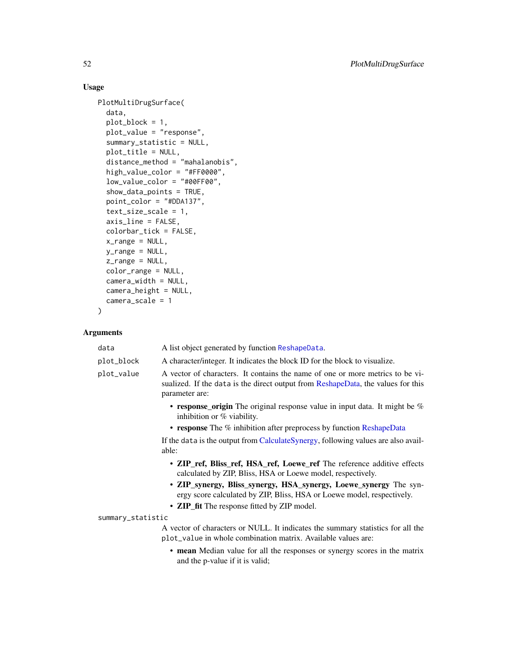# Usage

```
PlotMultiDrugSurface(
  data,
  plot_block = 1,
 plot_value = "response",
  summary_statistic = NULL,
 plot_title = NULL,
  distance_method = "mahalanobis",
  high_value_color = "#FF0000",
  low_value_color = "#00FF00",
  show_data_points = TRUE,
 point_color = "#DDA137",
  text_size_scale = 1,
  axis_line = FALSE,
  colorbar_tick = FALSE,
 x_range = NULL,
 y_range = NULL,
 z_range = NULL,
  color_range = NULL,
 camera_width = NULL,
 camera_height = NULL,
  camera_scale = 1
\mathcal{L}
```
# Arguments

| data              | A list object generated by function ReshapeData.                                                                                                                                    |
|-------------------|-------------------------------------------------------------------------------------------------------------------------------------------------------------------------------------|
| plot_block        | A character/integer. It indicates the block ID for the block to visualize.                                                                                                          |
| plot_value        | A vector of characters. It contains the name of one or more metrics to be vi-<br>sualized. If the data is the direct output from ReshapeData, the values for this<br>parameter are: |
|                   | • response_origin The original response value in input data. It might be $%$<br>inhibition or % viability.                                                                          |
|                   | • response The % inhibition after preprocess by function ReshapeData                                                                                                                |
|                   | If the data is the output from CalculateSynergy, following values are also avail-<br>able:                                                                                          |
|                   | • ZIP_ref, Bliss_ref, HSA_ref, Loewe_ref The reference additive effects<br>calculated by ZIP, Bliss, HSA or Loewe model, respectively.                                              |
|                   | • ZIP_synergy, Bliss_synergy, HSA_synergy, Loewe_synergy The syn-<br>ergy score calculated by ZIP, Bliss, HSA or Loewe model, respectively.                                         |
|                   | • ZIP_fit The response fitted by ZIP model.                                                                                                                                         |
| summary_statistic |                                                                                                                                                                                     |
|                   | A vector of characters or NULL. It indicates the summary statistics for all the<br>plot_value in whole combination matrix. Available values are:                                    |
|                   | • mean Median value for all the responses or synergy scores in the matrix<br>and the p-value if it is valid;                                                                        |
|                   |                                                                                                                                                                                     |

<span id="page-51-0"></span>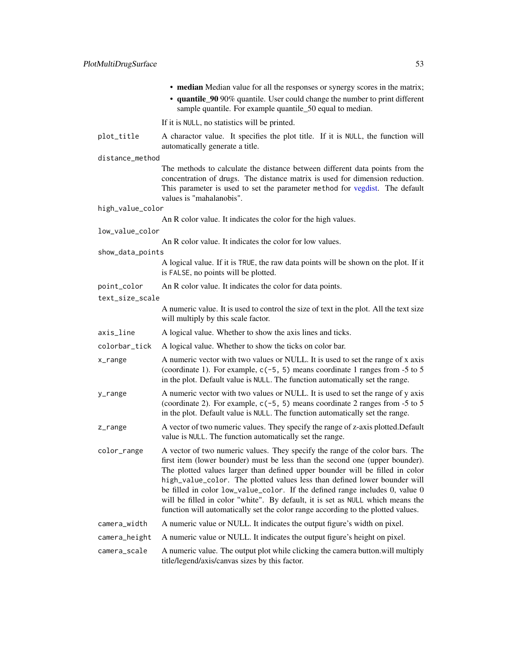<span id="page-52-0"></span>

|                  | • median Median value for all the responses or synergy scores in the matrix;<br>• quantile_90 90% quantile. User could change the number to print different<br>sample quantile. For example quantile_50 equal to median.                                                                                                                                                                                                                                                                                                                                                         |
|------------------|----------------------------------------------------------------------------------------------------------------------------------------------------------------------------------------------------------------------------------------------------------------------------------------------------------------------------------------------------------------------------------------------------------------------------------------------------------------------------------------------------------------------------------------------------------------------------------|
|                  | If it is NULL, no statistics will be printed.                                                                                                                                                                                                                                                                                                                                                                                                                                                                                                                                    |
| plot_title       | A charactor value. It specifies the plot title. If it is NULL, the function will<br>automatically generate a title.                                                                                                                                                                                                                                                                                                                                                                                                                                                              |
| distance_method  |                                                                                                                                                                                                                                                                                                                                                                                                                                                                                                                                                                                  |
|                  | The methods to calculate the distance between different data points from the<br>concentration of drugs. The distance matrix is used for dimension reduction.<br>This parameter is used to set the parameter method for vegdist. The default<br>values is "mahalanobis".                                                                                                                                                                                                                                                                                                          |
| high_value_color |                                                                                                                                                                                                                                                                                                                                                                                                                                                                                                                                                                                  |
|                  | An R color value. It indicates the color for the high values.                                                                                                                                                                                                                                                                                                                                                                                                                                                                                                                    |
| low_value_color  | An R color value. It indicates the color for low values.                                                                                                                                                                                                                                                                                                                                                                                                                                                                                                                         |
| show_data_points |                                                                                                                                                                                                                                                                                                                                                                                                                                                                                                                                                                                  |
|                  | A logical value. If it is TRUE, the raw data points will be shown on the plot. If it<br>is FALSE, no points will be plotted.                                                                                                                                                                                                                                                                                                                                                                                                                                                     |
| point_color      | An R color value. It indicates the color for data points.                                                                                                                                                                                                                                                                                                                                                                                                                                                                                                                        |
| text_size_scale  |                                                                                                                                                                                                                                                                                                                                                                                                                                                                                                                                                                                  |
|                  | A numeric value. It is used to control the size of text in the plot. All the text size<br>will multiply by this scale factor.                                                                                                                                                                                                                                                                                                                                                                                                                                                    |
| axis_line        | A logical value. Whether to show the axis lines and ticks.                                                                                                                                                                                                                                                                                                                                                                                                                                                                                                                       |
| colorbar_tick    | A logical value. Whether to show the ticks on color bar.                                                                                                                                                                                                                                                                                                                                                                                                                                                                                                                         |
| x_range          | A numeric vector with two values or NULL. It is used to set the range of x axis<br>(coordinate 1). For example, $c(-5, 5)$ means coordinate 1 ranges from -5 to 5<br>in the plot. Default value is NULL. The function automatically set the range.                                                                                                                                                                                                                                                                                                                               |
| y_range          | A numeric vector with two values or NULL. It is used to set the range of y axis<br>(coordinate 2). For example, $c(-5, 5)$ means coordinate 2 ranges from -5 to 5<br>in the plot. Default value is NULL. The function automatically set the range.                                                                                                                                                                                                                                                                                                                               |
| z_range          | A vector of two numeric values. They specify the range of z-axis plotted. Default<br>value is NULL. The function automatically set the range.                                                                                                                                                                                                                                                                                                                                                                                                                                    |
| color_range      | A vector of two numeric values. They specify the range of the color bars. The<br>first item (lower bounder) must be less than the second one (upper bounder).<br>The plotted values larger than defined upper bounder will be filled in color<br>high_value_color. The plotted values less than defined lower bounder will<br>be filled in color low_value_color. If the defined range includes 0, value 0<br>will be filled in color "white". By default, it is set as NULL which means the<br>function will automatically set the color range according to the plotted values. |
| camera_width     | A numeric value or NULL. It indicates the output figure's width on pixel.                                                                                                                                                                                                                                                                                                                                                                                                                                                                                                        |
| camera_height    | A numeric value or NULL. It indicates the output figure's height on pixel.                                                                                                                                                                                                                                                                                                                                                                                                                                                                                                       |
| camera_scale     | A numeric value. The output plot while clicking the camera button.will multiply<br>title/legend/axis/canvas sizes by this factor.                                                                                                                                                                                                                                                                                                                                                                                                                                                |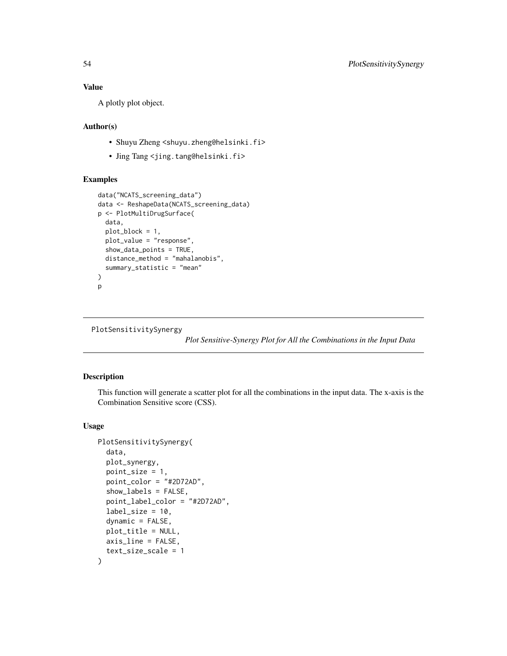# <span id="page-53-0"></span>Value

A plotly plot object.

#### Author(s)

- Shuyu Zheng <shuyu.zheng@helsinki.fi>
- Jing Tang <jing.tang@helsinki.fi>

# Examples

```
data("NCATS_screening_data")
data <- ReshapeData(NCATS_screening_data)
p <- PlotMultiDrugSurface(
  data,
  plot_block = 1,
  plot_value = "response",
  show_data_points = TRUE,
  distance_method = "mahalanobis",
  summary_statistic = "mean"
)
p
```
PlotSensitivitySynergy

*Plot Sensitive-Synergy Plot for All the Combinations in the Input Data*

# Description

This function will generate a scatter plot for all the combinations in the input data. The x-axis is the Combination Sensitive score (CSS).

#### Usage

```
PlotSensitivitySynergy(
  data,
  plot_synergy,
  point_size = 1,
  point_color = "#2D72AD",
  show_labels = FALSE,
  point_label_color = "#2D72AD",
  label\_size = 10.dynamic = FALSE,
  plot_title = NULL,
  axis_line = FALSE,
  text_size_scale = 1
)
```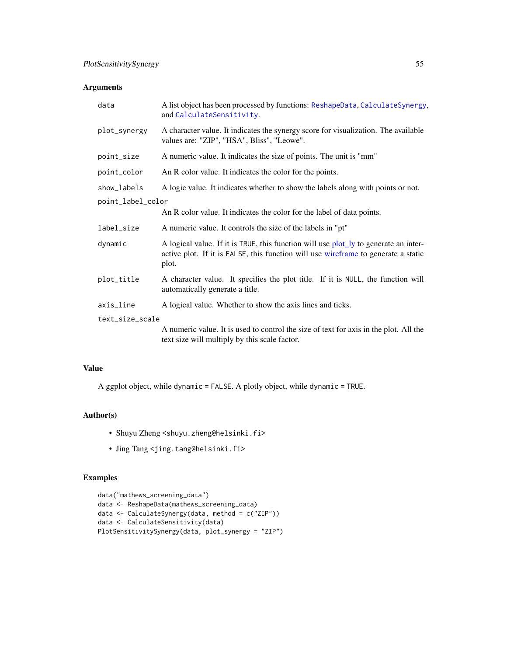# <span id="page-54-0"></span>Arguments

| data              | A list object has been processed by functions: ReshapeData, CalculateSynergy,<br>and CalculateSensitivity.                                                                          |
|-------------------|-------------------------------------------------------------------------------------------------------------------------------------------------------------------------------------|
| plot_synergy      | A character value. It indicates the synergy score for visualization. The available<br>values are: "ZIP", "HSA", Bliss", "Leowe".                                                    |
| point_size        | A numeric value. It indicates the size of points. The unit is "mm"                                                                                                                  |
| point_color       | An R color value. It indicates the color for the points.                                                                                                                            |
| show_labels       | A logic value. It indicates whether to show the labels along with points or not.                                                                                                    |
| point_label_color |                                                                                                                                                                                     |
|                   | An R color value. It indicates the color for the label of data points.                                                                                                              |
| label_size        | A numeric value. It controls the size of the labels in "pt"                                                                                                                         |
| dynamic           | A logical value. If it is TRUE, this function will use plot_ly to generate an inter-<br>active plot. If it is FALSE, this function will use wireframe to generate a static<br>plot. |
| plot_title        | A character value. It specifies the plot title. If it is NULL, the function will<br>automatically generate a title.                                                                 |
| axis_line         | A logical value. Whether to show the axis lines and ticks.                                                                                                                          |
| text_size_scale   |                                                                                                                                                                                     |
|                   | A numeric value. It is used to control the size of text for axis in the plot. All the<br>text size will multiply by this scale factor.                                              |

#### Value

A ggplot object, while dynamic = FALSE. A plotly object, while dynamic = TRUE.

### Author(s)

- Shuyu Zheng <shuyu.zheng@helsinki.fi>
- Jing Tang <jing.tang@helsinki.fi>

# Examples

```
data("mathews_screening_data")
data <- ReshapeData(mathews_screening_data)
data <- CalculateSynergy(data, method = c("ZIP"))
data <- CalculateSensitivity(data)
PlotSensitivitySynergy(data, plot_synergy = "ZIP")
```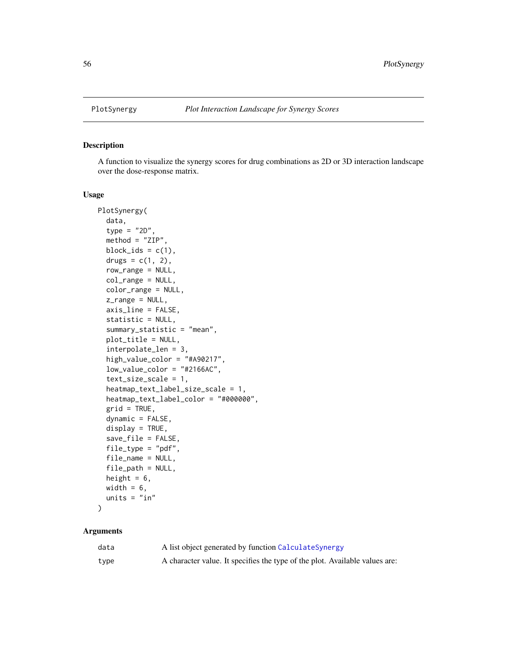<span id="page-55-0"></span>

A function to visualize the synergy scores for drug combinations as 2D or 3D interaction landscape over the dose-response matrix.

#### Usage

```
PlotSynergy(
  data,
  type = "2D",
  method = "ZIP",
 block_ids = c(1),
  drugs = c(1, 2),
  row_range = NULL,
  col_range = NULL,
  color_range = NULL,
  z_range = NULL,
  axis_line = FALSE,
  statistic = NULL,
  summary_statistic = "mean",
  plot_title = NULL,
  interpolate_len = 3,
  high_value_color = "#A90217",
  low_value_color = "#2166AC",
  text_size_scale = 1,
  heatmap_text_label_size_scale = 1,
  heatmap_text_label_color = "#000000",
  grid = TRUE,dynamic = FALSE,
  display = TRUE,
  save_file = FALSE,
  file_type = "pdf",
  file_name = NULL,
  file_path = NULL,
  height = 6,
 width = 6,
  units = "in"
```
)

#### Arguments

| data | A list object generated by function Calculate Synergy                       |
|------|-----------------------------------------------------------------------------|
| type | A character value. It specifies the type of the plot. Available values are: |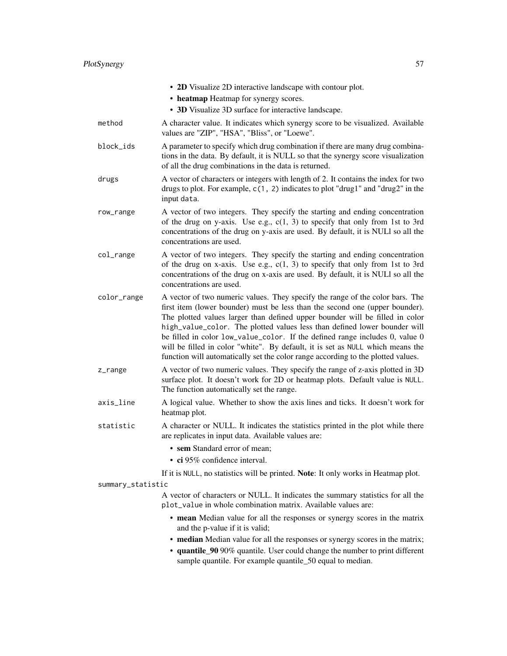|                   | • 2D Visualize 2D interactive landscape with contour plot.                                                                                                                                                                                                                                                                                                                                                                                                                                                                                                                       |
|-------------------|----------------------------------------------------------------------------------------------------------------------------------------------------------------------------------------------------------------------------------------------------------------------------------------------------------------------------------------------------------------------------------------------------------------------------------------------------------------------------------------------------------------------------------------------------------------------------------|
|                   | • heatmap Heatmap for synergy scores.                                                                                                                                                                                                                                                                                                                                                                                                                                                                                                                                            |
|                   | • 3D Visualize 3D surface for interactive landscape.                                                                                                                                                                                                                                                                                                                                                                                                                                                                                                                             |
| method            | A character value. It indicates which synergy score to be visualized. Available<br>values are "ZIP", "HSA", "Bliss", or "Loewe".                                                                                                                                                                                                                                                                                                                                                                                                                                                 |
| block_ids         | A parameter to specify which drug combination if there are many drug combina-<br>tions in the data. By default, it is NULL so that the synergy score visualization<br>of all the drug combinations in the data is returned.                                                                                                                                                                                                                                                                                                                                                      |
| drugs             | A vector of characters or integers with length of 2. It contains the index for two<br>drugs to plot. For example, $c(1, 2)$ indicates to plot "drug1" and "drug2" in the<br>input data.                                                                                                                                                                                                                                                                                                                                                                                          |
| row_range         | A vector of two integers. They specify the starting and ending concentration<br>of the drug on y-axis. Use e.g., $c(1, 3)$ to specify that only from 1st to 3rd<br>concentrations of the drug on y-axis are used. By default, it is NULI so all the<br>concentrations are used.                                                                                                                                                                                                                                                                                                  |
| col_range         | A vector of two integers. They specify the starting and ending concentration<br>of the drug on x-axis. Use e.g., $c(1, 3)$ to specify that only from 1st to 3rd<br>concentrations of the drug on x-axis are used. By default, it is NULl so all the<br>concentrations are used.                                                                                                                                                                                                                                                                                                  |
| color_range       | A vector of two numeric values. They specify the range of the color bars. The<br>first item (lower bounder) must be less than the second one (upper bounder).<br>The plotted values larger than defined upper bounder will be filled in color<br>high_value_color. The plotted values less than defined lower bounder will<br>be filled in color low_value_color. If the defined range includes 0, value 0<br>will be filled in color "white". By default, it is set as NULL which means the<br>function will automatically set the color range according to the plotted values. |
| z_range           | A vector of two numeric values. They specify the range of z-axis plotted in 3D<br>surface plot. It doesn't work for 2D or heatmap plots. Default value is NULL.<br>The function automatically set the range.                                                                                                                                                                                                                                                                                                                                                                     |
| axis_line         | A logical value. Whether to show the axis lines and ticks. It doesn't work for<br>heatmap plot.                                                                                                                                                                                                                                                                                                                                                                                                                                                                                  |
| statistic         | A character or NULL. It indicates the statistics printed in the plot while there<br>are replicates in input data. Available values are:                                                                                                                                                                                                                                                                                                                                                                                                                                          |
|                   | • sem Standard error of mean;                                                                                                                                                                                                                                                                                                                                                                                                                                                                                                                                                    |
|                   | · ci 95% confidence interval.                                                                                                                                                                                                                                                                                                                                                                                                                                                                                                                                                    |
|                   | If it is NULL, no statistics will be printed. Note: It only works in Heatmap plot.                                                                                                                                                                                                                                                                                                                                                                                                                                                                                               |
| summary_statistic |                                                                                                                                                                                                                                                                                                                                                                                                                                                                                                                                                                                  |
|                   | A vector of characters or NULL. It indicates the summary statistics for all the<br>plot_value in whole combination matrix. Available values are:                                                                                                                                                                                                                                                                                                                                                                                                                                 |
|                   | • mean Median value for all the responses or synergy scores in the matrix<br>and the p-value if it is valid;                                                                                                                                                                                                                                                                                                                                                                                                                                                                     |
|                   | • median Median value for all the responses or synergy scores in the matrix;                                                                                                                                                                                                                                                                                                                                                                                                                                                                                                     |

• quantile\_90 90% quantile. User could change the number to print different sample quantile. For example quantile\_50 equal to median.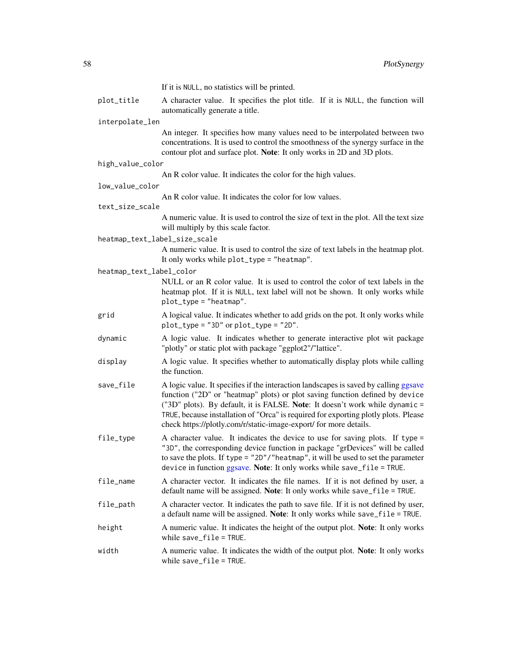<span id="page-57-0"></span>

|                               | If it is NULL, no statistics will be printed.                                                                                                                                                                                                                                                                                                                                                                    |
|-------------------------------|------------------------------------------------------------------------------------------------------------------------------------------------------------------------------------------------------------------------------------------------------------------------------------------------------------------------------------------------------------------------------------------------------------------|
| plot_title                    | A character value. It specifies the plot title. If it is NULL, the function will<br>automatically generate a title.                                                                                                                                                                                                                                                                                              |
| interpolate_len               |                                                                                                                                                                                                                                                                                                                                                                                                                  |
|                               | An integer. It specifies how many values need to be interpolated between two<br>concentrations. It is used to control the smoothness of the synergy surface in the<br>contour plot and surface plot. Note: It only works in 2D and 3D plots.                                                                                                                                                                     |
| high_value_color              |                                                                                                                                                                                                                                                                                                                                                                                                                  |
|                               | An R color value. It indicates the color for the high values.                                                                                                                                                                                                                                                                                                                                                    |
| low_value_color               |                                                                                                                                                                                                                                                                                                                                                                                                                  |
| text_size_scale               | An R color value. It indicates the color for low values.                                                                                                                                                                                                                                                                                                                                                         |
|                               | A numeric value. It is used to control the size of text in the plot. All the text size<br>will multiply by this scale factor.                                                                                                                                                                                                                                                                                    |
| heatmap_text_label_size_scale |                                                                                                                                                                                                                                                                                                                                                                                                                  |
|                               | A numeric value. It is used to control the size of text labels in the heatmap plot.<br>It only works while plot_type = "heatmap".                                                                                                                                                                                                                                                                                |
| heatmap_text_label_color      |                                                                                                                                                                                                                                                                                                                                                                                                                  |
|                               | NULL or an R color value. It is used to control the color of text labels in the<br>heatmap plot. If it is NULL, text label will not be shown. It only works while<br>$plot_type = "heatmap".$                                                                                                                                                                                                                    |
| grid                          | A logical value. It indicates whether to add grids on the pot. It only works while<br>$plot_type = "3D" or plot_type = "2D".$                                                                                                                                                                                                                                                                                    |
| dynamic                       | A logic value. It indicates whether to generate interactive plot wit package<br>"plotly" or static plot with package "ggplot2"/"lattice".                                                                                                                                                                                                                                                                        |
| display                       | A logic value. It specifies whether to automatically display plots while calling<br>the function.                                                                                                                                                                                                                                                                                                                |
| save_file                     | A logic value. It specifies if the interaction landscapes is saved by calling ggsave<br>function ("2D" or "heatmap" plots) or plot saving function defined by device<br>("3D" plots). By default, it is FALSE. Note: It doesn't work while dynamic =<br>TRUE, because installation of "Orca" is required for exporting plotly plots. Please<br>check https://plotly.com/r/static-image-export/ for more details. |
| file_type                     | A character value. It indicates the device to use for saving plots. If type =<br>"3D", the corresponding device function in package "grDevices" will be called<br>to save the plots. If type = $"2D"$ /"heatmap", it will be used to set the parameter<br>device in function ggsave. Note: It only works while save_file = TRUE.                                                                                 |
| file_name                     | A character vector. It indicates the file names. If it is not defined by user, a<br>default name will be assigned. Note: It only works while save_file = TRUE.                                                                                                                                                                                                                                                   |
| file_path                     | A character vector. It indicates the path to save file. If it is not defined by user,<br>a default name will be assigned. Note: It only works while save_file = TRUE.                                                                                                                                                                                                                                            |
| height                        | A numeric value. It indicates the height of the output plot. Note: It only works<br>while $save_file = TRUE$ .                                                                                                                                                                                                                                                                                                   |
| width                         | A numeric value. It indicates the width of the output plot. Note: It only works<br>while $save_file = TRUE$ .                                                                                                                                                                                                                                                                                                    |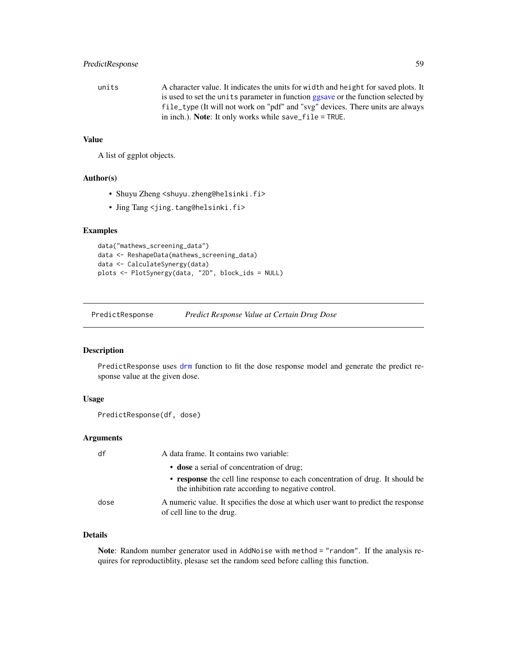# <span id="page-58-0"></span>PredictResponse 59

units A character value. It indicates the units for width and height for saved plots. It is used to set the units parameter in function [ggsave](#page-0-0) or the function selected by file\_type (It will not work on "pdf" and "svg" devices. There units are always in inch.). Note: It only works while save\_file = TRUE.

#### Value

A list of ggplot objects.

#### Author(s)

- Shuyu Zheng <shuyu.zheng@helsinki.fi>
- Jing Tang <jing.tang@helsinki.fi>

#### Examples

```
data("mathews_screening_data")
data <- ReshapeData(mathews_screening_data)
data <- CalculateSynergy(data)
plots <- PlotSynergy(data, "2D", block_ids = NULL)
```
PredictResponse *Predict Response Value at Certain Drug Dose*

# Description

PredictResponse uses [drm](#page-0-0) function to fit the dose response model and generate the predict response value at the given dose.

#### Usage

```
PredictResponse(df, dose)
```
# Arguments

| df   | A data frame. It contains two variable:                                                                                             |
|------|-------------------------------------------------------------------------------------------------------------------------------------|
|      | • dose a serial of concentration of drug;                                                                                           |
|      | • response the cell line response to each concentration of drug. It should be<br>the inhibition rate according to negative control. |
| dose | A numeric value. It specifies the dose at which user want to predict the response<br>of cell line to the drug.                      |

#### Details

Note: Random number generator used in AddNoise with method = "random". If the analysis requires for reproductiblity, plesase set the random seed before calling this function.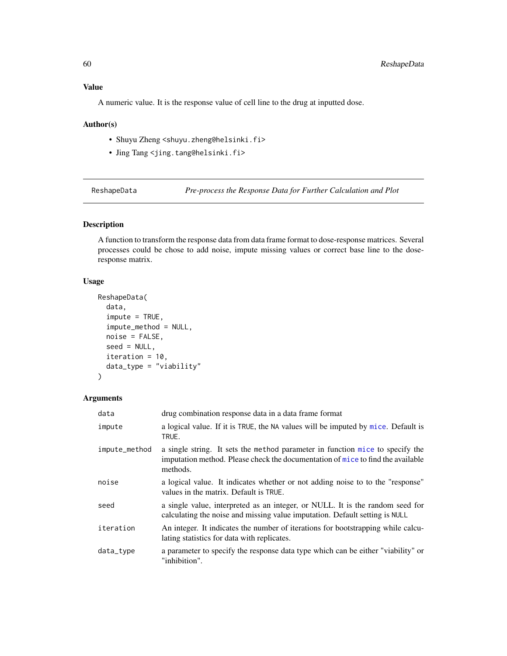# <span id="page-59-0"></span>Value

A numeric value. It is the response value of cell line to the drug at inputted dose.

#### Author(s)

- Shuyu Zheng <shuyu.zheng@helsinki.fi>
- Jing Tang <jing.tang@helsinki.fi>

<span id="page-59-1"></span>ReshapeData *Pre-process the Response Data for Further Calculation and Plot*

# Description

A function to transform the response data from data frame format to dose-response matrices. Several processes could be chose to add noise, impute missing values or correct base line to the doseresponse matrix.

# Usage

```
ReshapeData(
  data,
  \text{impute} = \text{TRUE},impute_method = NULL,
  noise = FALSE,
  seed = NULL,
  iteration = 10,
  data_type = "viability"
)
```
#### Arguments

| data          | drug combination response data in a data frame format                                                                                                                        |
|---------------|------------------------------------------------------------------------------------------------------------------------------------------------------------------------------|
| impute        | a logical value. If it is TRUE, the NA values will be imputed by mice. Default is<br>TRUE.                                                                                   |
| impute_method | a single string. It sets the method parameter in function mice to specify the<br>imputation method. Please check the documentation of mice to find the available<br>methods. |
| noise         | a logical value. It indicates whether or not adding noise to to the "response"<br>values in the matrix. Default is TRUE.                                                     |
| seed          | a single value, interpreted as an integer, or NULL. It is the random seed for<br>calculating the noise and missing value imputation. Default setting is NULL                 |
| iteration     | An integer. It indicates the number of iterations for bootstrapping while calcu-<br>lating statistics for data with replicates.                                              |
| data_type     | a parameter to specify the response data type which can be either "viability" or<br>"inhibition".                                                                            |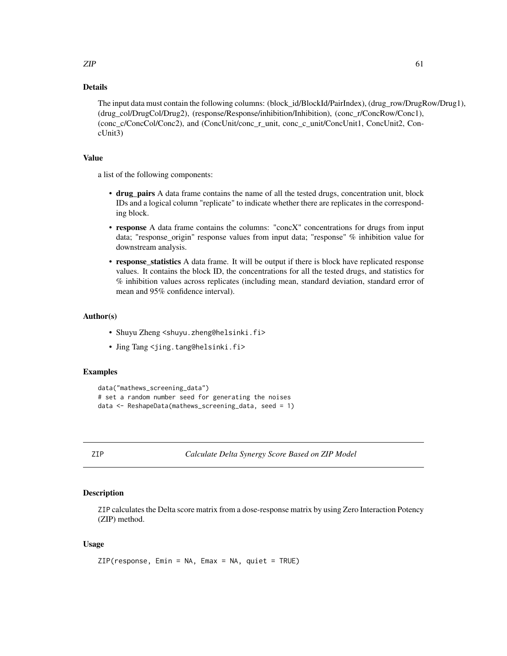# <span id="page-60-0"></span>Details

The input data must contain the following columns: (block\_id/BlockId/PairIndex), (drug\_row/DrugRow/Drug1), (drug\_col/DrugCol/Drug2), (response/Response/inhibition/Inhibition), (conc\_r/ConcRow/Conc1), (conc\_c/ConcCol/Conc2), and (ConcUnit/conc\_r\_unit, conc\_c\_unit/ConcUnit1, ConcUnit2, ConcUnit3)

#### Value

a list of the following components:

- drug\_pairs A data frame contains the name of all the tested drugs, concentration unit, block IDs and a logical column "replicate" to indicate whether there are replicates in the corresponding block.
- response A data frame contains the columns: "concX" concentrations for drugs from input data; "response\_origin" response values from input data; "response" % inhibition value for downstream analysis.
- response\_statistics A data frame. It will be output if there is block have replicated response values. It contains the block ID, the concentrations for all the tested drugs, and statistics for % inhibition values across replicates (including mean, standard deviation, standard error of mean and 95% confidence interval).

#### Author(s)

- Shuyu Zheng <shuyu.zheng@helsinki.fi>
- Jing Tang <jing.tang@helsinki.fi>

#### Examples

```
data("mathews_screening_data")
# set a random number seed for generating the noises
data <- ReshapeData(mathews_screening_data, seed = 1)
```
<span id="page-60-1"></span>

ZIP *Calculate Delta Synergy Score Based on ZIP Model*

# **Description**

ZIP calculates the Delta score matrix from a dose-response matrix by using Zero Interaction Potency (ZIP) method.

#### Usage

```
ZIP(response, Emin = NA, Emax = NA, quiet = TRUE)
```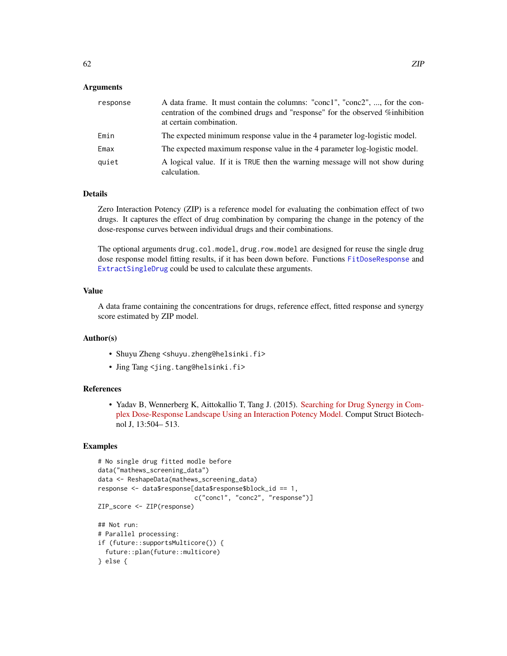### <span id="page-61-0"></span>Arguments

| response | A data frame. It must contain the columns: "conc1", "conc2", , for the con-<br>centration of the combined drugs and "response" for the observed %inhibition<br>at certain combination. |
|----------|----------------------------------------------------------------------------------------------------------------------------------------------------------------------------------------|
| Emin     | The expected minimum response value in the 4 parameter log-logistic model.                                                                                                             |
| Emax     | The expected maximum response value in the 4 parameter log-logistic model.                                                                                                             |
| quiet    | A logical value. If it is TRUE then the warning message will not show during<br>calculation.                                                                                           |

#### Details

Zero Interaction Potency (ZIP) is a reference model for evaluating the conbimation effect of two drugs. It captures the effect of drug combination by comparing the change in the potency of the dose-response curves between individual drugs and their combinations.

The optional arguments drug.col.model, drug.row.model are designed for reuse the single drug dose response model fitting results, if it has been down before. Functions [FitDoseResponse](#page-26-1) and [ExtractSingleDrug](#page-24-1) could be used to calculate these arguments.

# Value

A data frame containing the concentrations for drugs, reference effect, fitted response and synergy score estimated by ZIP model.

#### Author(s)

- Shuyu Zheng <shuyu.zheng@helsinki.fi>
- Jing Tang <jing.tang@helsinki.fi>

#### References

• Yadav B, Wennerberg K, Aittokallio T, Tang J. (2015). [Searching for Drug Synergy in Com](https://doi.org/10.1016/j.csbj.2015.09.001)[plex Dose-Response Landscape Using an Interaction Potency Model.](https://doi.org/10.1016/j.csbj.2015.09.001) Comput Struct Biotechnol J, 13:504– 513.

## Examples

```
# No single drug fitted modle before
data("mathews_screening_data")
data <- ReshapeData(mathews_screening_data)
response <- data$response[data$response$block_id == 1,
                          c("conc1", "conc2", "response")]
ZIP_score <- ZIP(response)
## Not run:
# Parallel processing:
if (future::supportsMulticore()) {
 future::plan(future::multicore)
} else {
```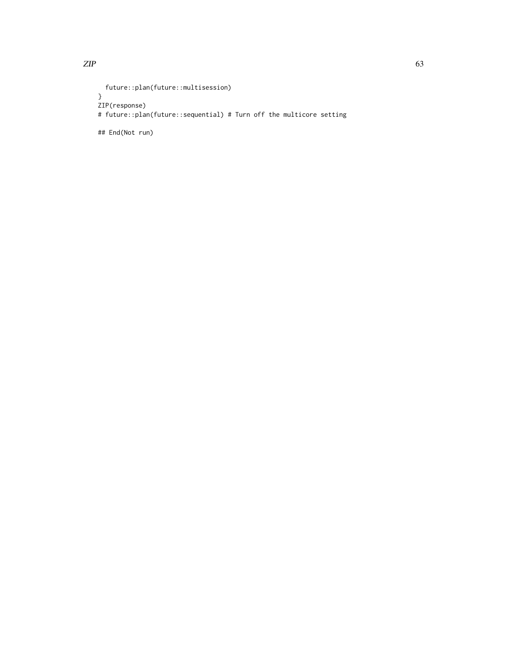```
future::plan(future::multisession)
}
ZIP(response)
# future::plan(future::sequential) # Turn off the multicore setting
```
## End(Not run)